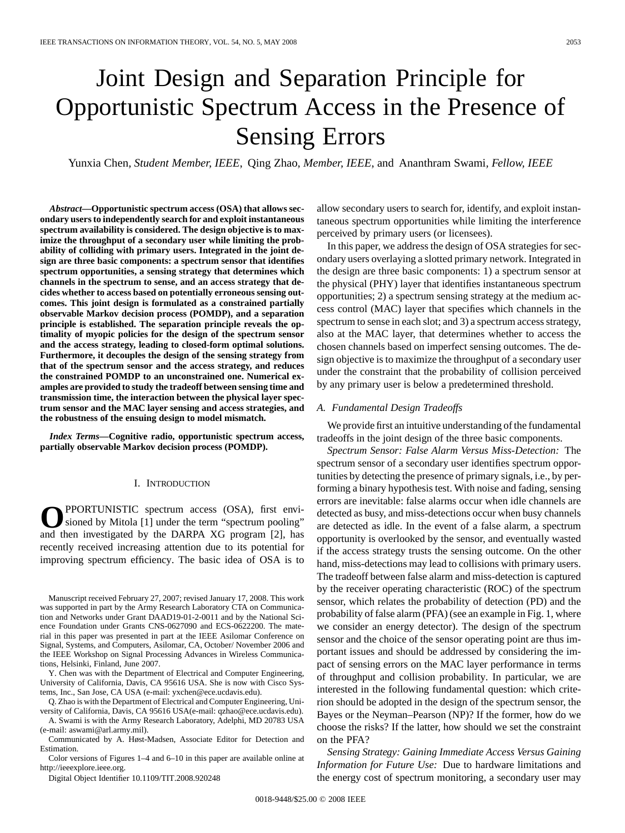# Joint Design and Separation Principle for Opportunistic Spectrum Access in the Presence of Sensing Errors

Yunxia Chen*, Student Member, IEEE*, Qing Zhao*, Member, IEEE*, and Ananthram Swami*, Fellow, IEEE*

*Abstract—***Opportunistic spectrum access (OSA) that allows secondary users to independently search for and exploit instantaneous spectrum availability is considered. The design objective is to maximize the throughput of a secondary user while limiting the probability of colliding with primary users. Integrated in the joint design are three basic components: a spectrum sensor that identifies spectrum opportunities, a sensing strategy that determines which channels in the spectrum to sense, and an access strategy that decides whether to access based on potentially erroneous sensing outcomes. This joint design is formulated as a constrained partially observable Markov decision process (POMDP), and a separation principle is established. The separation principle reveals the optimality of myopic policies for the design of the spectrum sensor and the access strategy, leading to closed-form optimal solutions. Furthermore, it decouples the design of the sensing strategy from that of the spectrum sensor and the access strategy, and reduces the constrained POMDP to an unconstrained one. Numerical examples are provided to study the tradeoff between sensing time and transmission time, the interaction between the physical layer spectrum sensor and the MAC layer sensing and access strategies, and the robustness of the ensuing design to model mismatch.**

*Index Terms—***Cognitive radio, opportunistic spectrum access, partially observable Markov decision process (POMDP).**

#### I. INTRODUCTION

PPORTUNISTIC spectrum access (OSA), first envisioned by Mitola [1] under the term "spectrum pooling" and then investigated by the DARPA XG program [2], has recently received increasing attention due to its potential for improving spectrum efficiency. The basic idea of OSA is to

Manuscript received February 27, 2007; revised January 17, 2008. This work was supported in part by the Army Research Laboratory CTA on Communication and Networks under Grant DAAD19-01-2-0011 and by the National Science Foundation under Grants CNS-0627090 and ECS-0622200. The material in this paper was presented in part at the IEEE Asilomar Conference on Signal, Systems, and Computers, Asilomar, CA, October/ November 2006 and the IEEE Workshop on Signal Processing Advances in Wireless Communications, Helsinki, Finland, June 2007.

Y. Chen was with the Department of Electrical and Computer Engineering, University of California, Davis, CA 95616 USA. She is now with Cisco Systems, Inc., San Jose, CA USA (e-mail: yxchen@ece.ucdavis.edu).

Q. Zhao is with the Department of Electrical and Computer Engineering, University of California, Davis, CA 95616 USA(e-mail: qzhao@ece.ucdavis.edu).

A. Swami is with the Army Research Laboratory, Adelphi, MD 20783 USA (e-mail: aswami@arl.army.mil).

Communicated by A. Høst-Madsen, Associate Editor for Detection and Estimation.

Color versions of Figures 1–4 and 6–10 in this paper are available online at http://ieeexplore.ieee.org.

Digital Object Identifier 10.1109/TIT.2008.920248

allow secondary users to search for, identify, and exploit instantaneous spectrum opportunities while limiting the interference perceived by primary users (or licensees).

In this paper, we address the design of OSA strategies for secondary users overlaying a slotted primary network. Integrated in the design are three basic components: 1) a spectrum sensor at the physical (PHY) layer that identifies instantaneous spectrum opportunities; 2) a spectrum sensing strategy at the medium access control (MAC) layer that specifies which channels in the spectrum to sense in each slot; and 3) a spectrum access strategy, also at the MAC layer, that determines whether to access the chosen channels based on imperfect sensing outcomes. The design objective is to maximize the throughput of a secondary user under the constraint that the probability of collision perceived by any primary user is below a predetermined threshold.

#### *A. Fundamental Design Tradeoffs*

We provide first an intuitive understanding of the fundamental tradeoffs in the joint design of the three basic components.

*Spectrum Sensor: False Alarm Versus Miss-Detection:* The spectrum sensor of a secondary user identifies spectrum opportunities by detecting the presence of primary signals, i.e., by performing a binary hypothesis test. With noise and fading, sensing errors are inevitable: false alarms occur when idle channels are detected as busy, and miss-detections occur when busy channels are detected as idle. In the event of a false alarm, a spectrum opportunity is overlooked by the sensor, and eventually wasted if the access strategy trusts the sensing outcome. On the other hand, miss-detections may lead to collisions with primary users. The tradeoff between false alarm and miss-detection is captured by the receiver operating characteristic (ROC) of the spectrum sensor, which relates the probability of detection (PD) and the probability of false alarm (PFA) (see an example in Fig. 1, where we consider an energy detector). The design of the spectrum sensor and the choice of the sensor operating point are thus important issues and should be addressed by considering the impact of sensing errors on the MAC layer performance in terms of throughput and collision probability. In particular, we are interested in the following fundamental question: which criterion should be adopted in the design of the spectrum sensor, the Bayes or the Neyman–Pearson (NP)? If the former, how do we choose the risks? If the latter, how should we set the constraint on the PFA?

*Sensing Strategy: Gaining Immediate Access Versus Gaining Information for Future Use:* Due to hardware limitations and the energy cost of spectrum monitoring, a secondary user may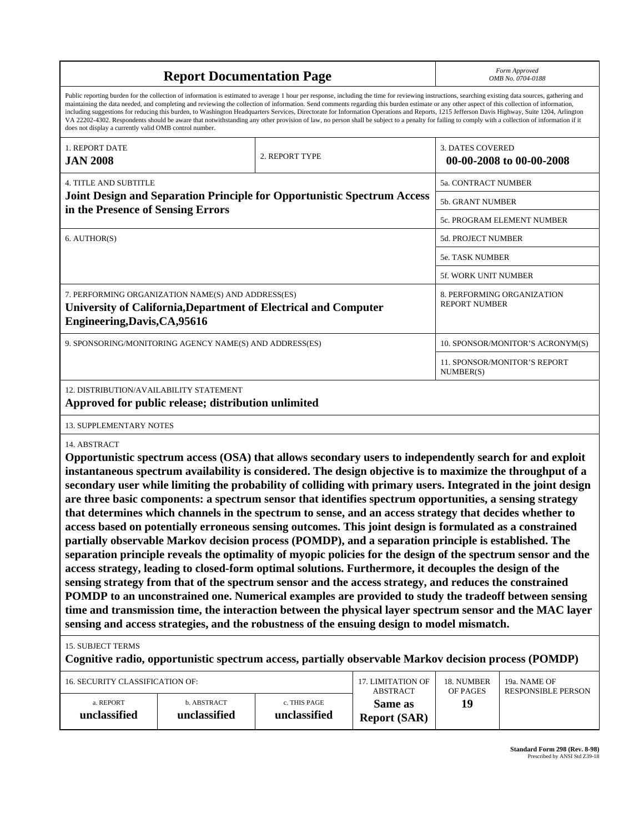| <b>Report Documentation Page</b>                                                                                                                                                                                                                                                                                                                                                                                                                                                                                                                                                                                                                                                                                                                                                                                                                                                                                                                                                                                                                                                                                                                                                                                                                                                                                                                                                                                                                        |                             |                              |                                                   | Form Approved<br>OMB No. 0704-0188                 |                           |  |
|---------------------------------------------------------------------------------------------------------------------------------------------------------------------------------------------------------------------------------------------------------------------------------------------------------------------------------------------------------------------------------------------------------------------------------------------------------------------------------------------------------------------------------------------------------------------------------------------------------------------------------------------------------------------------------------------------------------------------------------------------------------------------------------------------------------------------------------------------------------------------------------------------------------------------------------------------------------------------------------------------------------------------------------------------------------------------------------------------------------------------------------------------------------------------------------------------------------------------------------------------------------------------------------------------------------------------------------------------------------------------------------------------------------------------------------------------------|-----------------------------|------------------------------|---------------------------------------------------|----------------------------------------------------|---------------------------|--|
| Public reporting burden for the collection of information is estimated to average 1 hour per response, including the time for reviewing instructions, searching existing data sources, gathering and<br>maintaining the data needed, and completing and reviewing the collection of information. Send comments regarding this burden estimate or any other aspect of this collection of information,<br>including suggestions for reducing this burden, to Washington Headquarters Services, Directorate for Information Operations and Reports, 1215 Jefferson Davis Highway, Suite 1204, Arlington<br>VA 22202-4302. Respondents should be aware that notwithstanding any other provision of law, no person shall be subject to a penalty for failing to comply with a collection of information if it<br>does not display a currently valid OMB control number.                                                                                                                                                                                                                                                                                                                                                                                                                                                                                                                                                                                      |                             |                              |                                                   |                                                    |                           |  |
| 1. REPORT DATE<br><b>JAN 2008</b>                                                                                                                                                                                                                                                                                                                                                                                                                                                                                                                                                                                                                                                                                                                                                                                                                                                                                                                                                                                                                                                                                                                                                                                                                                                                                                                                                                                                                       |                             | 2. REPORT TYPE               |                                                   | <b>3. DATES COVERED</b>                            | 00-00-2008 to 00-00-2008  |  |
| <b>4. TITLE AND SUBTITLE</b>                                                                                                                                                                                                                                                                                                                                                                                                                                                                                                                                                                                                                                                                                                                                                                                                                                                                                                                                                                                                                                                                                                                                                                                                                                                                                                                                                                                                                            |                             | 5a. CONTRACT NUMBER          |                                                   |                                                    |                           |  |
| Joint Design and Separation Principle for Opportunistic Spectrum Access                                                                                                                                                                                                                                                                                                                                                                                                                                                                                                                                                                                                                                                                                                                                                                                                                                                                                                                                                                                                                                                                                                                                                                                                                                                                                                                                                                                 | 5b. GRANT NUMBER            |                              |                                                   |                                                    |                           |  |
| in the Presence of Sensing Errors                                                                                                                                                                                                                                                                                                                                                                                                                                                                                                                                                                                                                                                                                                                                                                                                                                                                                                                                                                                                                                                                                                                                                                                                                                                                                                                                                                                                                       |                             |                              | 5c. PROGRAM ELEMENT NUMBER                        |                                                    |                           |  |
| 6. AUTHOR(S)                                                                                                                                                                                                                                                                                                                                                                                                                                                                                                                                                                                                                                                                                                                                                                                                                                                                                                                                                                                                                                                                                                                                                                                                                                                                                                                                                                                                                                            |                             |                              |                                                   | 5d. PROJECT NUMBER                                 |                           |  |
|                                                                                                                                                                                                                                                                                                                                                                                                                                                                                                                                                                                                                                                                                                                                                                                                                                                                                                                                                                                                                                                                                                                                                                                                                                                                                                                                                                                                                                                         |                             |                              |                                                   | 5e. TASK NUMBER                                    |                           |  |
|                                                                                                                                                                                                                                                                                                                                                                                                                                                                                                                                                                                                                                                                                                                                                                                                                                                                                                                                                                                                                                                                                                                                                                                                                                                                                                                                                                                                                                                         |                             |                              |                                                   | 5f. WORK UNIT NUMBER                               |                           |  |
| 7. PERFORMING ORGANIZATION NAME(S) AND ADDRESS(ES)<br>University of California, Department of Electrical and Computer<br>Engineering, Davis, CA, 95616                                                                                                                                                                                                                                                                                                                                                                                                                                                                                                                                                                                                                                                                                                                                                                                                                                                                                                                                                                                                                                                                                                                                                                                                                                                                                                  |                             |                              |                                                   | 8. PERFORMING ORGANIZATION<br><b>REPORT NUMBER</b> |                           |  |
| 9. SPONSORING/MONITORING AGENCY NAME(S) AND ADDRESS(ES)                                                                                                                                                                                                                                                                                                                                                                                                                                                                                                                                                                                                                                                                                                                                                                                                                                                                                                                                                                                                                                                                                                                                                                                                                                                                                                                                                                                                 |                             |                              |                                                   | 10. SPONSOR/MONITOR'S ACRONYM(S)                   |                           |  |
|                                                                                                                                                                                                                                                                                                                                                                                                                                                                                                                                                                                                                                                                                                                                                                                                                                                                                                                                                                                                                                                                                                                                                                                                                                                                                                                                                                                                                                                         |                             |                              |                                                   | 11. SPONSOR/MONITOR'S REPORT<br>NUMBER(S)          |                           |  |
| 12. DISTRIBUTION/AVAILABILITY STATEMENT<br>Approved for public release; distribution unlimited                                                                                                                                                                                                                                                                                                                                                                                                                                                                                                                                                                                                                                                                                                                                                                                                                                                                                                                                                                                                                                                                                                                                                                                                                                                                                                                                                          |                             |                              |                                                   |                                                    |                           |  |
| <b>13. SUPPLEMENTARY NOTES</b>                                                                                                                                                                                                                                                                                                                                                                                                                                                                                                                                                                                                                                                                                                                                                                                                                                                                                                                                                                                                                                                                                                                                                                                                                                                                                                                                                                                                                          |                             |                              |                                                   |                                                    |                           |  |
| 14. ABSTRACT<br>Opportunistic spectrum access (OSA) that allows secondary users to independently search for and exploit<br>instantaneous spectrum availability is considered. The design objective is to maximize the throughput of a<br>secondary user while limiting the probability of colliding with primary users. Integrated in the joint design<br>are three basic components: a spectrum sensor that identifies spectrum opportunities, a sensing strategy<br>that determines which channels in the spectrum to sense, and an access strategy that decides whether to<br>access based on potentially erroneous sensing outcomes. This joint design is formulated as a constrained<br>partially observable Markov decision process (POMDP), and a separation principle is established. The<br>separation principle reveals the optimality of myopic policies for the design of the spectrum sensor and the<br>access strategy, leading to closed-form optimal solutions. Furthermore, it decouples the design of the<br>sensing strategy from that of the spectrum sensor and the access strategy, and reduces the constrained<br>POMDP to an unconstrained one. Numerical examples are provided to study the tradeoff between sensing<br>time and transmission time, the interaction between the physical layer spectrum sensor and the MAC layer<br>sensing and access strategies, and the robustness of the ensuing design to model mismatch. |                             |                              |                                                   |                                                    |                           |  |
| 15. SUBJECT TERMS<br>Cognitive radio, opportunistic spectrum access, partially observable Markov decision process (POMDP)                                                                                                                                                                                                                                                                                                                                                                                                                                                                                                                                                                                                                                                                                                                                                                                                                                                                                                                                                                                                                                                                                                                                                                                                                                                                                                                               |                             |                              |                                                   |                                                    |                           |  |
| 16. SECURITY CLASSIFICATION OF:                                                                                                                                                                                                                                                                                                                                                                                                                                                                                                                                                                                                                                                                                                                                                                                                                                                                                                                                                                                                                                                                                                                                                                                                                                                                                                                                                                                                                         | 17. LIMITATION OF           | 18. NUMBER                   | 19a. NAME OF                                      |                                                    |                           |  |
| a. REPORT<br>unclassified                                                                                                                                                                                                                                                                                                                                                                                                                                                                                                                                                                                                                                                                                                                                                                                                                                                                                                                                                                                                                                                                                                                                                                                                                                                                                                                                                                                                                               | b. ABSTRACT<br>unclassified | c. THIS PAGE<br>unclassified | <b>ABSTRACT</b><br>Same as<br><b>Report (SAR)</b> | OF PAGES<br>19                                     | <b>RESPONSIBLE PERSON</b> |  |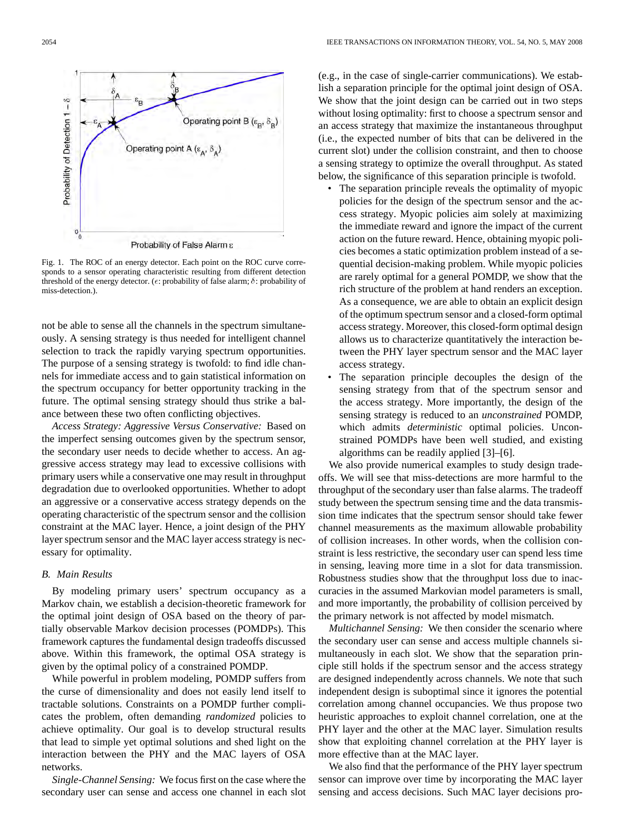

Probability of False Alarm a

Fig. 1. The ROC of an energy detector. Each point on the ROC curve corresponds to a sensor operating characteristic resulting from different detection threshold of the energy detector. ( $\epsilon$ : probability of false alarm;  $\delta$ : probability of miss-detection.).

not be able to sense all the channels in the spectrum simultaneously. A sensing strategy is thus needed for intelligent channel selection to track the rapidly varying spectrum opportunities. The purpose of a sensing strategy is twofold: to find idle channels for immediate access and to gain statistical information on the spectrum occupancy for better opportunity tracking in the future. The optimal sensing strategy should thus strike a balance between these two often conflicting objectives.

*Access Strategy: Aggressive Versus Conservative:* Based on the imperfect sensing outcomes given by the spectrum sensor, the secondary user needs to decide whether to access. An aggressive access strategy may lead to excessive collisions with primary users while a conservative one may result in throughput degradation due to overlooked opportunities. Whether to adopt an aggressive or a conservative access strategy depends on the operating characteristic of the spectrum sensor and the collision constraint at the MAC layer. Hence, a joint design of the PHY layer spectrum sensor and the MAC layer access strategy is necessary for optimality.

#### *B. Main Results*

By modeling primary users' spectrum occupancy as a Markov chain, we establish a decision-theoretic framework for the optimal joint design of OSA based on the theory of partially observable Markov decision processes (POMDPs). This framework captures the fundamental design tradeoffs discussed above. Within this framework, the optimal OSA strategy is given by the optimal policy of a constrained POMDP.

While powerful in problem modeling, POMDP suffers from the curse of dimensionality and does not easily lend itself to tractable solutions. Constraints on a POMDP further complicates the problem, often demanding *randomized* policies to achieve optimality. Our goal is to develop structural results that lead to simple yet optimal solutions and shed light on the interaction between the PHY and the MAC layers of OSA networks.

*Single-Channel Sensing:* We focus first on the case where the secondary user can sense and access one channel in each slot

(e.g., in the case of single-carrier communications). We establish a separation principle for the optimal joint design of OSA. We show that the joint design can be carried out in two steps without losing optimality: first to choose a spectrum sensor and an access strategy that maximize the instantaneous throughput (i.e., the expected number of bits that can be delivered in the current slot) under the collision constraint, and then to choose a sensing strategy to optimize the overall throughput. As stated below, the significance of this separation principle is twofold.

- The separation principle reveals the optimality of myopic policies for the design of the spectrum sensor and the access strategy. Myopic policies aim solely at maximizing the immediate reward and ignore the impact of the current action on the future reward. Hence, obtaining myopic policies becomes a static optimization problem instead of a sequential decision-making problem. While myopic policies are rarely optimal for a general POMDP, we show that the rich structure of the problem at hand renders an exception. As a consequence, we are able to obtain an explicit design of the optimum spectrum sensor and a closed-form optimal access strategy. Moreover, this closed-form optimal design allows us to characterize quantitatively the interaction between the PHY layer spectrum sensor and the MAC layer access strategy.
- The separation principle decouples the design of the sensing strategy from that of the spectrum sensor and the access strategy. More importantly, the design of the sensing strategy is reduced to an *unconstrained* POMDP, which admits *deterministic* optimal policies. Unconstrained POMDPs have been well studied, and existing algorithms can be readily applied [3]–[6].

We also provide numerical examples to study design tradeoffs. We will see that miss-detections are more harmful to the throughput of the secondary user than false alarms. The tradeoff study between the spectrum sensing time and the data transmission time indicates that the spectrum sensor should take fewer channel measurements as the maximum allowable probability of collision increases. In other words, when the collision constraint is less restrictive, the secondary user can spend less time in sensing, leaving more time in a slot for data transmission. Robustness studies show that the throughput loss due to inaccuracies in the assumed Markovian model parameters is small, and more importantly, the probability of collision perceived by the primary network is not affected by model mismatch.

*Multichannel Sensing:* We then consider the scenario where the secondary user can sense and access multiple channels simultaneously in each slot. We show that the separation principle still holds if the spectrum sensor and the access strategy are designed independently across channels. We note that such independent design is suboptimal since it ignores the potential correlation among channel occupancies. We thus propose two heuristic approaches to exploit channel correlation, one at the PHY layer and the other at the MAC layer. Simulation results show that exploiting channel correlation at the PHY layer is more effective than at the MAC layer.

We also find that the performance of the PHY layer spectrum sensor can improve over time by incorporating the MAC layer sensing and access decisions. Such MAC layer decisions pro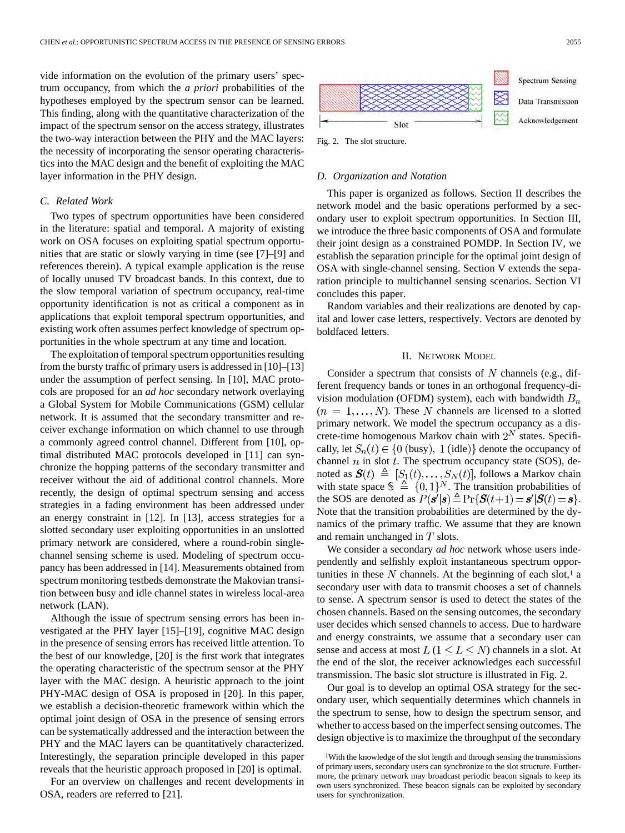vide information on the evolution of the primary users' spectrum occupancy, from which the *a priori* probabilities of the hypotheses employed by the spectrum sensor can be learned. This finding, along with the quantitative characterization of the impact of the spectrum sensor on the access strategy, illustrates the two-way interaction between the PHY and the MAC layers: the necessity of incorporating the sensor operating characteristics into the MAC design and the benefit of exploiting the MAC layer information in the PHY design.

#### *C. Related Work*

Two types of spectrum opportunities have been considered in the literature: spatial and temporal. A majority of existing work on OSA focuses on exploiting spatial spectrum opportunities that are static or slowly varying in time (see [7]–[9] and references therein). A typical example application is the reuse of locally unused TV broadcast bands. In this context, due to the slow temporal variation of spectrum occupancy, real-time opportunity identification is not as critical a component as in applications that exploit temporal spectrum opportunities, and existing work often assumes perfect knowledge of spectrum opportunities in the whole spectrum at any time and location.

The exploitation of temporal spectrum opportunities resulting from the bursty traffic of primary users is addressed in [10]–[13] under the assumption of perfect sensing. In [10], MAC protocols are proposed for an *ad hoc* secondary network overlaying a Global System for Mobile Communications (GSM) cellular network. It is assumed that the secondary transmitter and receiver exchange information on which channel to use through a commonly agreed control channel. Different from [10], optimal distributed MAC protocols developed in [11] can synchronize the hopping patterns of the secondary transmitter and receiver without the aid of additional control channels. More recently, the design of optimal spectrum sensing and access strategies in a fading environment has been addressed under an energy constraint in [12]. In [13], access strategies for a slotted secondary user exploiting opportunities in an unslotted primary network are considered, where a round-robin singlechannel sensing scheme is used. Modeling of spectrum occupancy has been addressed in [14]. Measurements obtained from spectrum monitoring testbeds demonstrate the Makovian transition between busy and idle channel states in wireless local-area network (LAN).

Although the issue of spectrum sensing errors has been investigated at the PHY layer [15]–[19], cognitive MAC design in the presence of sensing errors has received little attention. To the best of our knowledge, [20] is the first work that integrates the operating characteristic of the spectrum sensor at the PHY layer with the MAC design. A heuristic approach to the joint PHY-MAC design of OSA is proposed in [20]. In this paper, we establish a decision-theoretic framework within which the optimal joint design of OSA in the presence of sensing errors can be systematically addressed and the interaction between the PHY and the MAC layers can be quantitatively characterized. Interestingly, the separation principle developed in this paper reveals that the heuristic approach proposed in [20] is optimal.

For an overview on challenges and recent developments in OSA, readers are referred to [21].



Fig. 2. The slot structure.

#### *D. Organization and Notation*

This paper is organized as follows. Section II describes the network model and the basic operations performed by a secondary user to exploit spectrum opportunities. In Section III, we introduce the three basic components of OSA and formulate their joint design as a constrained POMDP. In Section IV, we establish the separation principle for the optimal joint design of OSA with single-channel sensing. Section V extends the separation principle to multichannel sensing scenarios. Section VI concludes this paper.

Random variables and their realizations are denoted by capital and lower case letters, respectively. Vectors are denoted by boldfaced letters.

#### II. NETWORK MODEL

Consider a spectrum that consists of N channels (e.g., different frequency bands or tones in an orthogonal frequency-division modulation (OFDM) system), each with bandwidth  $B_n$  $(n = 1, \ldots, N)$ . These N channels are licensed to a slotted primary network. We model the spectrum occupancy as a discrete-time homogenous Markov chain with  $2^N$  states. Specifically, let  $S_n(t) \in \{0 \text{ (busy)}, 1 \text{ (idle)}\}$  denote the occupancy of channel  $n$  in slot  $t$ . The spectrum occupancy state (SOS), denoted as  $S(t) \triangleq [S_1(t), \ldots, S_N(t)]$ , follows a Markov chain with state space  $\mathcal{S} \triangleq \{0,1\}^N$ . The transition probabilities of the SOS are denoted as  $P(\mathbf{s}'|\mathbf{s}) \triangleq \Pr\{\mathbf{S}(t+1) = \mathbf{s}'|\mathbf{S}(t) = \mathbf{s}\}.$ Note that the transition probabilities are determined by the dynamics of the primary traffic. We assume that they are known and remain unchanged in  $T$  slots.

We consider a secondary *ad hoc* network whose users independently and selfishly exploit instantaneous spectrum opportunities in these N channels. At the beginning of each slot,<sup>1</sup> a secondary user with data to transmit chooses a set of channels to sense. A spectrum sensor is used to detect the states of the chosen channels. Based on the sensing outcomes, the secondary user decides which sensed channels to access. Due to hardware and energy constraints, we assume that a secondary user can sense and access at most  $L (1 \leq L \leq N)$  channels in a slot. At the end of the slot, the receiver acknowledges each successful transmission. The basic slot structure is illustrated in Fig. 2.

Our goal is to develop an optimal OSA strategy for the secondary user, which sequentially determines which channels in the spectrum to sense, how to design the spectrum sensor, and whether to access based on the imperfect sensing outcomes. The design objective is to maximize the throughput of the secondary

<sup>1</sup>With the knowledge of the slot length and through sensing the transmissions of primary users, secondary users can synchronize to the slot structure. Furthermore, the primary network may broadcast periodic beacon signals to keep its own users synchronized. These beacon signals can be exploited by secondary users for synchronization.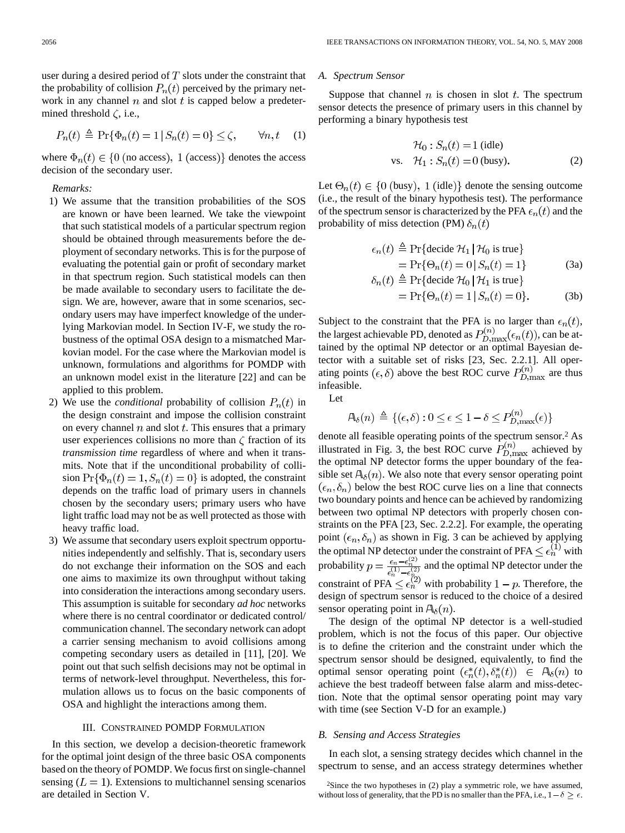user during a desired period of  $T$  slots under the constraint that the probability of collision  $P_n(t)$  perceived by the primary network in any channel  $n$  and slot  $t$  is capped below a predetermined threshold  $\zeta$ , i.e.,

$$
P_n(t) \triangleq \Pr\{\Phi_n(t) = 1 \mid S_n(t) = 0\} \le \zeta, \qquad \forall n, t \quad (1)
$$

where  $\Phi_n(t) \in \{0 \text{ (no access)}, 1 \text{ (access)}\}$  denotes the access decision of the secondary user.

*Remarks:*

- 1) We assume that the transition probabilities of the SOS are known or have been learned. We take the viewpoint that such statistical models of a particular spectrum region should be obtained through measurements before the deployment of secondary networks. This is for the purpose of evaluating the potential gain or profit of secondary market in that spectrum region. Such statistical models can then be made available to secondary users to facilitate the design. We are, however, aware that in some scenarios, secondary users may have imperfect knowledge of the underlying Markovian model. In Section IV-F, we study the robustness of the optimal OSA design to a mismatched Markovian model. For the case where the Markovian model is unknown, formulations and algorithms for POMDP with an unknown model exist in the literature [22] and can be applied to this problem.
- 2) We use the *conditional* probability of collision  $P_n(t)$  in the design constraint and impose the collision constraint on every channel  $n$  and slot  $t$ . This ensures that a primary user experiences collisions no more than  $\zeta$  fraction of its *transmission time* regardless of where and when it transmits. Note that if the unconditional probability of collision  $Pr{\Phi_n(t) = 1, S_n(t) = 0}$  is adopted, the constraint depends on the traffic load of primary users in channels chosen by the secondary users; primary users who have light traffic load may not be as well protected as those with heavy traffic load.
- 3) We assume that secondary users exploit spectrum opportunities independently and selfishly. That is, secondary users do not exchange their information on the SOS and each one aims to maximize its own throughput without taking into consideration the interactions among secondary users. This assumption is suitable for secondary *ad hoc* networks where there is no central coordinator or dedicated control/ communication channel. The secondary network can adopt a carrier sensing mechanism to avoid collisions among competing secondary users as detailed in [11], [20]. We point out that such selfish decisions may not be optimal in terms of network-level throughput. Nevertheless, this formulation allows us to focus on the basic components of OSA and highlight the interactions among them.

#### III. CONSTRAINED POMDP FORMULATION

In this section, we develop a decision-theoretic framework for the optimal joint design of the three basic OSA components based on the theory of POMDP. We focus first on single-channel sensing  $(L = 1)$ . Extensions to multichannel sensing scenarios are detailed in Section V.

#### *A. Spectrum Sensor*

Suppose that channel  $n$  is chosen in slot  $t$ . The spectrum sensor detects the presence of primary users in this channel by performing a binary hypothesis test

$$
\mathcal{H}_0: S_n(t) = 1 \text{ (idle)}
$$
  
vs. 
$$
\mathcal{H}_1: S_n(t) = 0 \text{ (busy)}.
$$
 (2)

Let  $\Theta_n(t) \in \{0 \text{ (busy)}, 1 \text{ (idle)}\}$  denote the sensing outcome (i.e., the result of the binary hypothesis test). The performance of the spectrum sensor is characterized by the PFA  $\epsilon_n(t)$  and the probability of miss detection (PM)  $\delta_n(t)$ 

$$
\epsilon_n(t) \triangleq \Pr{\text{decide } \mathcal{H}_1 | \mathcal{H}_0 \text{ is true}}
$$
  
=  $\Pr{\Theta_n(t) = 0 | S_n(t) = 1}$  (3a)  

$$
\delta_n(t) \triangleq \Pr{\text{decide } \mathcal{H}_0 | \mathcal{H}_1 \text{ is true}}
$$

$$
= \Pr\{\Theta_n(t) = 1 \, | \, S_n(t) = 0\}. \tag{3b}
$$

Subject to the constraint that the PFA is no larger than  $\epsilon_n(t)$ , the largest achievable PD, denoted as  $P_{D,\max}^{(n)}(\epsilon_n(t))$ , can be attained by the optimal NP detector or an optimal Bayesian detector with a suitable set of risks [23, Sec. 2.2.1]. All operating points  $(\epsilon, \delta)$  above the best ROC curve  $P_{D,\text{max}}^{(n)}$  are thus infeasible.

Let

$$
\mathsf{A}_{\delta}(n) \triangleq \{(\epsilon,\delta) : 0 \le \epsilon \le 1 - \delta \le P_{D,\max}^{(n)}(\epsilon)\}\
$$

denote all feasible operating points of the spectrum sensor.<sup>2</sup> As illustrated in Fig. 3, the best ROC curve  $P_{D,\text{max}}^{(n)}$  achieved by the optimal NP detector forms the upper boundary of the feasible set  $A_{\delta}(n)$ . We also note that every sensor operating point  $(\epsilon_n, \delta_n)$  below the best ROC curve lies on a line that connects two boundary points and hence can be achieved by randomizing between two optimal NP detectors with properly chosen constraints on the PFA [23, Sec. 2.2.2]. For example, the operating point  $(\epsilon_n, \delta_n)$  as shown in Fig. 3 can be achieved by applying the optimal NP detector under the constraint of PFA  $\leq \epsilon_n^{(1)}$  with probability  $p = \frac{\epsilon_n - \epsilon_n}{(1 - \epsilon_n)}$  and the optimal NP detector under the constraint of PFA  $\leq \epsilon_n^{(2)}$  with probability  $1-p$ . Therefore, the design of spectrum sensor is reduced to the choice of a desired sensor operating point in  $A_{\delta}(n)$ .

The design of the optimal NP detector is a well-studied problem, which is not the focus of this paper. Our objective is to define the criterion and the constraint under which the spectrum sensor should be designed, equivalently, to find the optimal sensor operating point  $(\epsilon_n^*(t), \delta_n^*(t)) \in A_\delta(n)$  to achieve the best tradeoff between false alarm and miss-detection. Note that the optimal sensor operating point may vary with time (see Section V-D for an example.)

#### *B. Sensing and Access Strategies*

In each slot, a sensing strategy decides which channel in the spectrum to sense, and an access strategy determines whether

<sup>&</sup>lt;sup>2</sup>Since the two hypotheses in (2) play a symmetric role, we have assumed, without loss of generality, that the PD is no smaller than the PFA, i.e.,  $1 - \delta \ge \epsilon$ .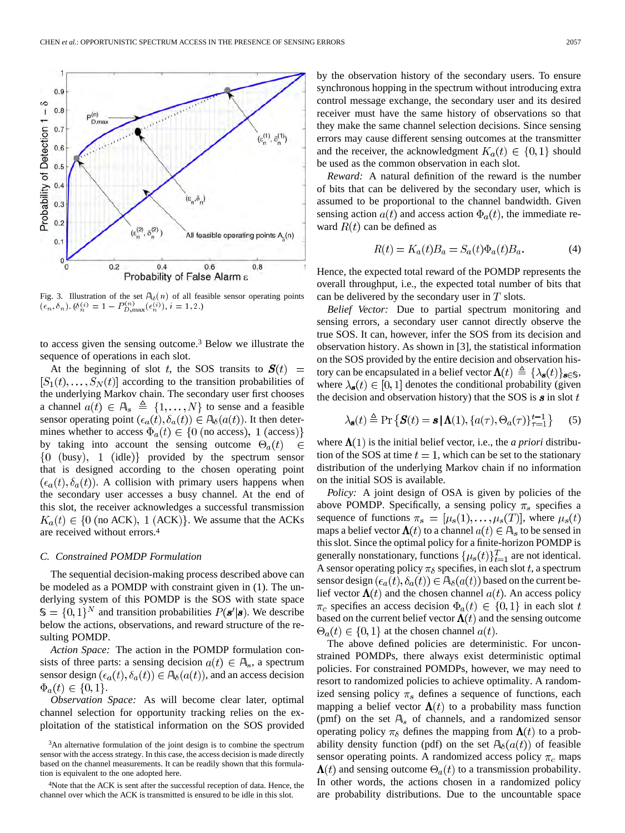

Fig. 3. Illustration of the set  $A_{\delta}(n)$  of all feasible sensor operating points **Probability of False Alarm**  $\varepsilon$ <br>Fig. 3. Illustration of the set  $A_{\delta}(n)$  of all feasible sensor  $(\epsilon_n, \delta_n)$ .  $(\delta_n^{(i)} = 1 - P_{D,\max}^{(n)}(\epsilon_n^{(i)})$ ,  $i = 1, 2$ .)

to access given the sensing outcome.3 Below we illustrate the sequence of operations in each slot.

At the beginning of slot t, the SOS transits to  $S(t)$  =  $[S_1(t), \ldots, S_N(t)]$  according to the transition probabilities of the underlying Markov chain. The secondary user first chooses a channel  $a(t) \in A_s \triangleq \{1, ..., N\}$  to sense and a feasible sensor operating point  $(\epsilon_a(t), \delta_a(t)) \in A_\delta(a(t))$ . It then determines whether to access  $\Phi_a(t) \in \{0 \text{ (no access)}, 1 \text{ (access)}\}$ by taking into account the sensing outcome  $\Theta_a(t)$  $\in$  $\{0 \text{ (busy)}, 1 \text{ (idle)}\}$  provided by the spectrum sensor that is designed according to the chosen operating point  $(\epsilon_a(t), \delta_a(t))$ . A collision with primary users happens when the secondary user accesses a busy channel. At the end of this slot, the receiver acknowledges a successful transmission  $K_a(t) \in \{0 \text{ (no ACK)}, 1 \text{ (ACK)}\}.$  We assume that the ACKs are received without errors.4

#### *C. Constrained POMDP Formulation*

The sequential decision-making process described above can be modeled as a POMDP with constraint given in (1). The underlying system of this POMDP is the SOS with state space  $\mathcal{S} = \{0,1\}^N$  and transition probabilities  $P(\mathbf{s}'|\mathbf{s})$ . We describe below the actions, observations, and reward structure of the resulting POMDP.

*Action Space:* The action in the POMDP formulation consists of three parts: a sensing decision  $a(t) \in A_s$ , a spectrum sensor design  $(\epsilon_a(t), \delta_a(t)) \in A_\delta(a(t))$ , and an access decision  $\Phi_a(t) \in \{0,1\}.$ 

*Observation Space:* As will become clear later, optimal channel selection for opportunity tracking relies on the exploitation of the statistical information on the SOS provided by the observation history of the secondary users. To ensure synchronous hopping in the spectrum without introducing extra control message exchange, the secondary user and its desired receiver must have the same history of observations so that they make the same channel selection decisions. Since sensing errors may cause different sensing outcomes at the transmitter and the receiver, the acknowledgment  $K_a(t) \in \{0,1\}$  should be used as the common observation in each slot.

*Reward:* A natural definition of the reward is the number of bits that can be delivered by the secondary user, which is assumed to be proportional to the channel bandwidth. Given sensing action  $a(t)$  and access action  $\Phi_a(t)$ , the immediate reward  $R(t)$  can be defined as

$$
R(t) = K_a(t)B_a = S_a(t)\Phi_a(t)B_a.
$$
 (4)

Hence, the expected total reward of the POMDP represents the overall throughput, i.e., the expected total number of bits that can be delivered by the secondary user in  $T$  slots.

*Belief Vector:* Due to partial spectrum monitoring and sensing errors, a secondary user cannot directly observe the true SOS. It can, however, infer the SOS from its decision and observation history. As shown in [3], the statistical information on the SOS provided by the entire decision and observation history can be encapsulated in a belief vector  $\mathbf{\Lambda}(t) \triangleq {\lambda_{s}(t)}_{s \in \mathbb{S}}$ , where  $\lambda_{\mathbf{s}}(t) \in [0,1]$  denotes the conditional probability (given the decision and observation history) that the SOS is  $s$  in slot  $t$ 

$$
\lambda_{\mathbf{s}}(t) \stackrel{\Delta}{=} \Pr\left\{ \mathbf{S}(t) = \mathbf{s} \, | \, \Lambda(1), \{a(\tau), \Theta_a(\tau)\}_{\tau=1}^{t-1} \right\} \tag{5}
$$

where  $\Lambda(1)$  is the initial belief vector, i.e., the *a priori* distribution of the SOS at time  $t = 1$ , which can be set to the stationary distribution of the underlying Markov chain if no information on the initial SOS is available.

*Policy:* A joint design of OSA is given by policies of the above POMDP. Specifically, a sensing policy  $\pi_s$  specifies a sequence of functions  $\pi_s = [\mu_s(1), \dots, \mu_s(T)]$ , where  $\mu_s(t)$ maps a belief vector  $\Lambda(t)$  to a channel  $a(t) \in A_s$  to be sensed in this slot. Since the optimal policy for a finite-horizon POMDP is generally nonstationary, functions  $\{\mu_s(t)\}_{t=1}^T$  are not identical. A sensor operating policy  $\pi_{\delta}$  specifies, in each slot t, a spectrum sensor design  $(\epsilon_a(t), \delta_a(t)) \in A_{\delta}(a(t))$  based on the current belief vector  $\Lambda(t)$  and the chosen channel  $a(t)$ . An access policy  $\pi_c$  specifies an access decision  $\Phi_a(t) \in \{0,1\}$  in each slot t based on the current belief vector  $\Lambda(t)$  and the sensing outcome  $\Theta_a(t) \in \{0,1\}$  at the chosen channel  $a(t)$ .

The above defined policies are deterministic. For unconstrained POMDPs, there always exist deterministic optimal policies. For constrained POMDPs, however, we may need to resort to randomized policies to achieve optimality. A randomized sensing policy  $\pi_s$  defines a sequence of functions, each mapping a belief vector  $\Lambda(t)$  to a probability mass function (pmf) on the set  $A_s$  of channels, and a randomized sensor operating policy  $\pi_{\delta}$  defines the mapping from  $\Lambda(t)$  to a probability density function (pdf) on the set  $A_{\delta}(a(t))$  of feasible sensor operating points. A randomized access policy  $\pi_c$  maps  $\mathbf{\Lambda}(t)$  and sensing outcome  $\Theta_a(t)$  to a transmission probability. In other words, the actions chosen in a randomized policy are probability distributions. Due to the uncountable space

<sup>&</sup>lt;sup>3</sup>An alternative formulation of the joint design is to combine the spectrum sensor with the access strategy. In this case, the access decision is made directly based on the channel measurements. It can be readily shown that this formulation is equivalent to the one adopted here.

<sup>4</sup>Note that the ACK is sent after the successful reception of data. Hence, the channel over which the ACK is transmitted is ensured to be idle in this slot.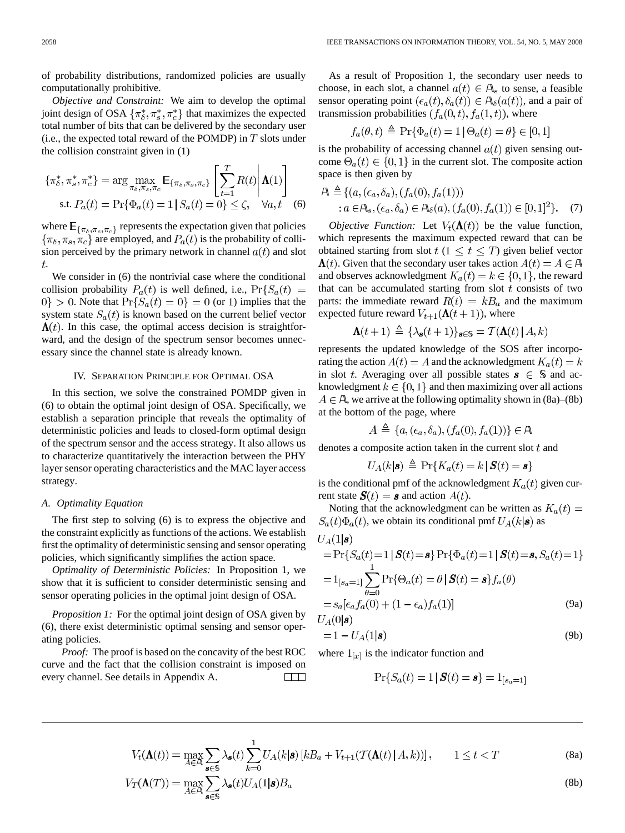of probability distributions, randomized policies are usually computationally prohibitive.

*Objective and Constraint:* We aim to develop the optimal joint design of OSA  $\{\pi_{\delta}^*, \pi_{s}^*, \pi_{c}^*\}$  that maximizes the expected total number of bits that can be delivered by the secondary user (i.e., the expected total reward of the POMDP) in  $T$  slots under the collision constraint given in (1)

$$
\{\pi_{\delta}^{*}, \pi_{s}^{*}, \pi_{c}^{*}\} = \arg \max_{\pi_{\delta}, \pi_{s}, \pi_{c}} \mathbb{E}_{\{\pi_{\delta}, \pi_{s}, \pi_{c}\}} \left[ \sum_{t=1}^{T} R(t) \middle| \mathbf{\Lambda}(1) \right]
$$
  
s.t.  $P_{a}(t) = \Pr\{\Phi_{a}(t) = 1 | S_{a}(t) = 0\} \leq \zeta, \quad \forall a, t$  (6)

where  $\mathbb{E}_{\{\pi_\delta,\pi_s,\pi_c\}}$  represents the expectation given that policies  $\{\pi_{\delta}, \pi_{s}, \pi_{c}\}\$  are employed, and  $P_a(t)$  is the probability of collision perceived by the primary network in channel  $a(t)$  and slot  $t.$ 

We consider in  $(6)$  the nontrivial case where the conditional collision probability  $P_a(t)$  is well defined, i.e.,  $\Pr\{S_a(t)$  =  $0\} > 0$ . Note that  $\Pr\{S_a(t) = 0\} = 0$  (or 1) implies that the system state  $S_a(t)$  is known based on the current belief vector  $\mathbf{\Lambda}(t)$ . In this case, the optimal access decision is straightforward, and the design of the spectrum sensor becomes unnecessary since the channel state is already known.

#### IV. SEPARATION PRINCIPLE FOR OPTIMAL OSA

In this section, we solve the constrained POMDP given in (6) to obtain the optimal joint design of OSA. Specifically, we establish a separation principle that reveals the optimality of deterministic policies and leads to closed-form optimal design of the spectrum sensor and the access strategy. It also allows us to characterize quantitatively the interaction between the PHY layer sensor operating characteristics and the MAC layer access strategy.

#### *A. Optimality Equation*

The first step to solving (6) is to express the objective and the constraint explicitly as functions of the actions. We establish first the optimality of deterministic sensing and sensor operating policies, which significantly simplifies the action space.

*Optimality of Deterministic Policies:* In Proposition 1, we show that it is sufficient to consider deterministic sensing and sensor operating policies in the optimal joint design of OSA.

*Proposition 1:* For the optimal joint design of OSA given by (6), there exist deterministic optimal sensing and sensor operating policies.

*Proof:* The proof is based on the concavity of the best ROC curve and the fact that the collision constraint is imposed on every channel. See details in Appendix A.  $\Box$ 

As a result of Proposition 1, the secondary user needs to choose, in each slot, a channel  $a(t) \in A_s$  to sense, a feasible sensor operating point  $(\epsilon_a(t), \delta_a(t)) \in A_\delta(a(t))$ , and a pair of transmission probabilities  $(f_a(0,t), f_a(1,t))$ , where

$$
f_a(\theta, t) \triangleq \Pr{\Phi_a(t) = 1 | \Theta_a(t) = \theta} \in [0, 1]
$$

is the probability of accessing channel  $a(t)$  given sensing outcome  $\Theta_a(t) \in \{0,1\}$  in the current slot. The composite action space is then given by

$$
\mathbb{A} \triangleq \{ (a, (\epsilon_a, \delta_a), (f_a(0), f_a(1))) \\ : a \in \mathbb{A}_s, (\epsilon_a, \delta_a) \in \mathbb{A}_\delta(a), (f_a(0), f_a(1)) \in [0, 1]^2 \}. \tag{7}
$$

*Objective Function:* Let  $V_t(\mathbf{\Lambda}(t))$  be the value function, which represents the maximum expected reward that can be obtained starting from slot  $t$  ( $1 \le t \le T$ ) given belief vector  $\Lambda(t)$ . Given that the secondary user takes action  $A(t) = A \in \mathbb{R}$ and observes acknowledgment  $K_a(t)=k\in\{0,1\},$  the reward that can be accumulated starting from slot  $t$  consists of two parts: the immediate reward  $R(t) = kB_a$  and the maximum expected future reward  $V_{t+1}(\mathbf{\Lambda}(t+1))$ , where

$$
\mathbf{\Lambda}(t+1) \triangleq \{ \lambda_{\mathbf{s}}(t+1) \}_{\mathbf{s} \in \mathbb{S}} = \mathcal{T}(\mathbf{\Lambda}(t) | A, k)
$$

represents the updated knowledge of the SOS after incorporating the action  $A(t) = A$  and the acknowledgment  $K_a(t) = k$ in slot t. Averaging over all possible states  $s \in \mathcal{S}$  and acknowledgment  $k \in \{0, 1\}$  and then maximizing over all actions  $A \in \mathcal{A}$ , we arrive at the following optimality shown in (8a)–(8b) at the bottom of the page, where

$$
A \triangleq \{a, (\epsilon_a, \delta_a), (f_a(0), f_a(1))\} \in \mathbb{A}
$$

denotes a composite action taken in the current slot  $t$  and

$$
U_A(k|\mathbf{s}) \triangleq \Pr\{K_a(t) = k \, | \, \mathbf{S}(t) = \mathbf{s}\}
$$

is the conditional pmf of the acknowledgment  $K_a(t)$  given current state  $S(t) = s$  and action  $A(t)$ .

Noting that the acknowledgment can be written as  $K_a(t)$  =  $S_a(t)\Phi_a(t)$ , we obtain its conditional pmf  $U_A(k|\mathbf{s})$  as  $\mathbf{r}$  $241.3$ 

$$
U_A(1|\boldsymbol{s})
$$

$$
= \Pr\{S_a(t) = 1 \mid \mathbf{S}(t) = \mathbf{s}\} \Pr\{\Phi_a(t) = 1 \mid \mathbf{S}(t) = \mathbf{s}, S_a(t) = 1\}
$$

$$
= 1_{[s_a=1]} \sum_{\theta=0}^{1} \Pr\{\Theta_a(t) = \theta \mid \mathbf{S}(t) = \mathbf{s}\} f_a(\theta)
$$

$$
= s_a[\epsilon_a f_a(0) + (1 - \epsilon_a) f_a(1)] \tag{9a}
$$

 $U_A(0|\boldsymbol{s})$ 

$$
=1-U_A(1|\mathbf{s})\tag{9b}
$$

where  $1_{[x]}$  is the indicator function and

$$
\Pr\{S_a(t)=1\,|\,\boldsymbol{S}(t)=\boldsymbol{s}\}=1_{[s_a=1]}
$$

$$
V_t(\mathbf{\Lambda}(t)) = \max_{A \in \mathcal{A}} \sum_{\mathbf{s} \in \mathcal{S}} \lambda_{\mathbf{s}}(t) \sum_{k=0}^1 U_A(k|\mathbf{s}) \left[ kB_a + V_{t+1}(\mathcal{T}(\mathbf{\Lambda}(t) | A, k)) \right], \qquad 1 \le t < T
$$
\n(8a)  
\n
$$
V_T(\mathbf{\Lambda}(T)) = \max_{A \in \mathcal{A}} \sum_{\mathbf{s} \in \mathcal{S}} \lambda_{\mathbf{s}}(t) U_A(1|\mathbf{s}) B_a
$$
\n(8b)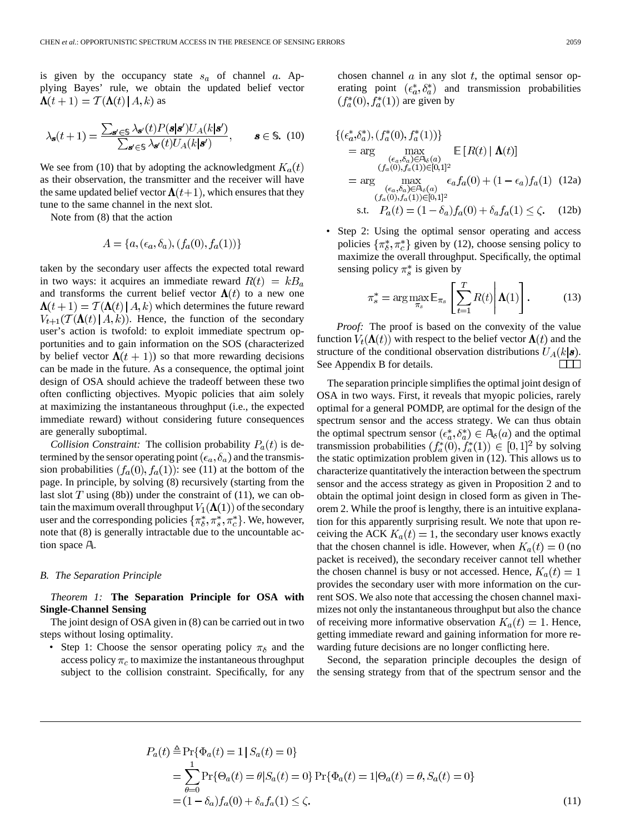is given by the occupancy state  $s_a$  of channel  $a$ . Applying Bayes' rule, we obtain the updated belief vector  $\mathbf{\Lambda}(t+1) = \mathcal{T}(\mathbf{\Lambda}(t) | A, k)$  as

$$
\lambda_{\mathbf{s}}(t+1) = \frac{\sum_{\mathbf{s}' \in \mathbb{S}} \lambda_{\mathbf{s}'}(t) P(\mathbf{s}|\mathbf{s}') U_A(k|\mathbf{s}')}{\sum_{\mathbf{s}' \in \mathbb{S}} \lambda_{\mathbf{s}'}(t) U_A(k|\mathbf{s}')}, \qquad \mathbf{s} \in \mathbb{S}. \tag{10}
$$

We see from (10) that by adopting the acknowledgment  $K_a(t)$ as their observation, the transmitter and the receiver will have the same updated belief vector  $\Lambda(t+1)$ , which ensures that they tune to the same channel in the next slot.

Note from (8) that the action

$$
A = \{a, (\epsilon_a, \delta_a), (f_a(0), f_a(1))\}
$$

taken by the secondary user affects the expected total reward in two ways: it acquires an immediate reward  $R(t) = kB_a$ and transforms the current belief vector  $\Lambda(t)$  to a new one  $\mathbf{\Lambda}(t+1) = \mathcal{T}(\mathbf{\Lambda}(t) | A, k)$  which determines the future reward  $V_{t+1}(\mathcal{T}(\mathbf{\Lambda}(t) | A, k))$ . Hence, the function of the secondary user's action is twofold: to exploit immediate spectrum opportunities and to gain information on the SOS (characterized by belief vector  $\Lambda(t+1)$  so that more rewarding decisions can be made in the future. As a consequence, the optimal joint design of OSA should achieve the tradeoff between these two often conflicting objectives. Myopic policies that aim solely at maximizing the instantaneous throughput (i.e., the expected immediate reward) without considering future consequences are generally suboptimal.

*Collision Constraint:* The collision probability  $P_a(t)$  is determined by the sensor operating point  $(\epsilon_a, \delta_a)$  and the transmission probabilities  $(f_a(0), f_a(1))$ : see (11) at the bottom of the page. In principle, by solving (8) recursively (starting from the last slot  $T$  using (8b)) under the constraint of (11), we can obtain the maximum overall throughput  $V_1(\Lambda(1))$  of the secondary user and the corresponding policies  $\{\pi_s^*, \pi_s^*, \pi_c^*\}$ . We, however, note that (8) is generally intractable due to the uncountable action space  $A$ .

#### *B. The Separation Principle*

*Theorem 1:* **The Separation Principle for OSA with Single-Channel Sensing**

The joint design of OSA given in (8) can be carried out in two steps without losing optimality.

• Step 1: Choose the sensor operating policy  $\pi_{\delta}$  and the access policy  $\pi_c$  to maximize the instantaneous throughput subject to the collision constraint. Specifically, for any

chosen channel  $\alpha$  in any slot  $t$ , the optimal sensor operating point  $(\epsilon_a^*, \delta_a^*)$  and transmission probabilities  $(f_a^*(0), f_a^*(1))$  are given by

$$
\begin{aligned}\n\left\{ (\epsilon_a^*, \delta_a^*), (f_a^*(0), f_a^*(1)) \right\} \\
&= \arg \max_{\substack{(\epsilon_a, \delta_a) \in \mathcal{A}_{\delta}(a) \\ (f_a(0), f_a(1)) \in [0, 1]^2}} \mathbb{E}\left[ R(t) \mid \mathbf{\Lambda}(t) \right] \\
&= \arg \max_{\substack{(\epsilon_a, \delta_a) \in \mathcal{A}_{\delta}(a) \\ (f_a(0), f_a(1)) \in [0, 1]^2}} \epsilon_a f_a(0) + (1 - \epsilon_a) f_a(1) \quad (12a) \\
\text{s.t. } P_a(t) = (1 - \delta_a) f_a(0) + \delta_a f_a(1) \leq \zeta. \quad (12b)\n\end{aligned}
$$

• Step 2: Using the optimal sensor operating and access policies  $\{\pi_{\delta}^*, \pi_{c}^*\}$  given by (12), choose sensing policy to maximize the overall throughput. Specifically, the optimal sensing policy  $\pi_s^*$  is given by

$$
\pi_s^* = \arg \max_{\pi_s} \mathbb{E}_{\pi_s} \left[ \sum_{t=1}^T R(t) \middle| \mathbf{\Lambda}(1) \right]. \tag{13}
$$

*Proof:* The proof is based on the convexity of the value function  $V_t(\mathbf{\Lambda}(t))$  with respect to the belief vector  $\mathbf{\Lambda}(t)$  and the structure of the conditional observation distributions  $U_A(k|\mathbf{s})$ . See Appendix B for details.  $\Box$ 

The separation principle simplifies the optimal joint design of OSA in two ways. First, it reveals that myopic policies, rarely optimal for a general POMDP, are optimal for the design of the spectrum sensor and the access strategy. We can thus obtain the optimal spectrum sensor  $(\epsilon_a^*, \delta_a^*) \in A_{\delta}(a)$  and the optimal transmission probabilities  $(f_a^*(0), f_a^*(1)) \in [0,1]^2$  by solving the static optimization problem given in (12). This allows us to characterize quantitatively the interaction between the spectrum sensor and the access strategy as given in Proposition 2 and to obtain the optimal joint design in closed form as given in Theorem 2. While the proof is lengthy, there is an intuitive explanation for this apparently surprising result. We note that upon receiving the ACK  $K_a(t) = 1$ , the secondary user knows exactly that the chosen channel is idle. However, when  $K_a(t) = 0$  (no packet is received), the secondary receiver cannot tell whether the chosen channel is busy or not accessed. Hence,  $K_a(t) = 1$ provides the secondary user with more information on the current SOS. We also note that accessing the chosen channel maximizes not only the instantaneous throughput but also the chance of receiving more informative observation  $K_a(t) = 1$ . Hence, getting immediate reward and gaining information for more rewarding future decisions are no longer conflicting here.

Second, the separation principle decouples the design of the sensing strategy from that of the spectrum sensor and the

(11)

$$
P_a(t) \triangleq \Pr{\Phi_a(t) = 1 | S_a(t) = 0}
$$
  
=  $\sum_{\theta=0}^{1} \Pr{\Theta_a(t) = \theta | S_a(t) = 0} \Pr{\Phi_a(t) = 1 | \Theta_a(t) = \theta, S_a(t) = 0}$   
=  $(1 - \delta_a) f_a(0) + \delta_a f_a(1) \le \zeta$ .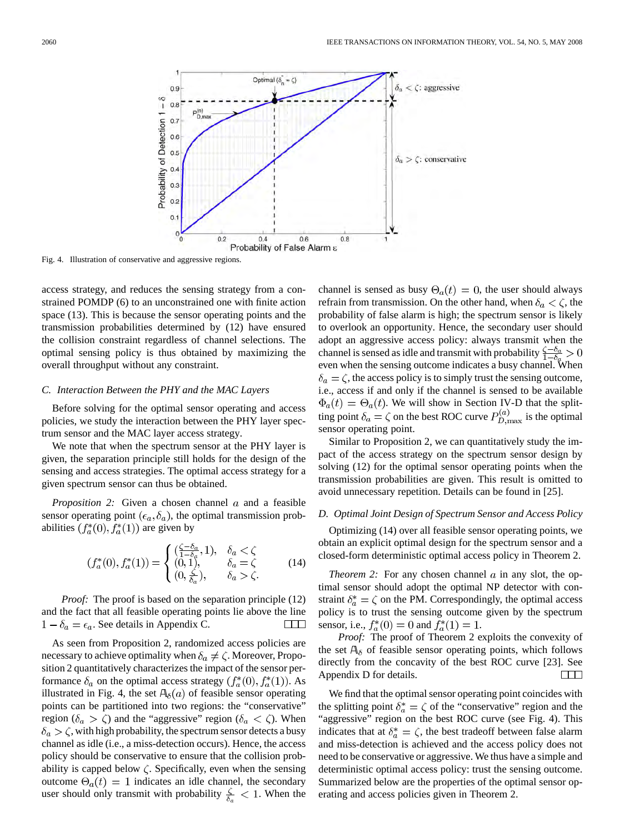

Fig. 4. Illustration of conservative and aggressive regions.

access strategy, and reduces the sensing strategy from a constrained POMDP (6) to an unconstrained one with finite action space (13). This is because the sensor operating points and the transmission probabilities determined by (12) have ensured the collision constraint regardless of channel selections. The optimal sensing policy is thus obtained by maximizing the overall throughput without any constraint.

#### *C. Interaction Between the PHY and the MAC Layers*

Before solving for the optimal sensor operating and access policies, we study the interaction between the PHY layer spectrum sensor and the MAC layer access strategy.

We note that when the spectrum sensor at the PHY layer is given, the separation principle still holds for the design of the sensing and access strategies. The optimal access strategy for a given spectrum sensor can thus be obtained.

*Proposition 2:* Given a chosen channel  $a$  and a feasible sensor operating point  $(\epsilon_a, \delta_a)$ , the optimal transmission probabilities  $(f_a^*(0), f_a^*(1))$  are given by

$$
(f_a^*(0), f_a^*(1)) = \begin{cases} (\frac{\zeta - \delta_a}{1 - \delta_a}, 1), & \delta_a < \zeta \\ (0, 1), & \delta_a = \zeta \\ (0, \frac{\zeta}{\delta_a}), & \delta_a > \zeta. \end{cases}
$$
(14)

*Proof:* The proof is based on the separation principle (12) and the fact that all feasible operating points lie above the line  $1 - \delta_a = \epsilon_a$ . See details in Appendix C.  $\Box$ 

As seen from Proposition 2, randomized access policies are necessary to achieve optimality when  $\delta_a \neq \zeta$ . Moreover, Proposition 2 quantitatively characterizes the impact of the sensor performance  $\delta_a$  on the optimal access strategy  $(f_a^*(0), f_a^*(1))$ . As illustrated in Fig. 4, the set  $A_{\delta}(a)$  of feasible sensor operating points can be partitioned into two regions: the "conservative" region ( $\delta_a > \zeta$ ) and the "aggressive" region ( $\delta_a < \zeta$ ). When  $\delta_a > \zeta$ , with high probability, the spectrum sensor detects a busy channel as idle (i.e., a miss-detection occurs). Hence, the access policy should be conservative to ensure that the collision probability is capped below  $\zeta$ . Specifically, even when the sensing outcome  $\Theta_a(t) = 1$  indicates an idle channel, the secondary user should only transmit with probability  $\frac{\zeta}{\delta_{a}} < 1$ . When the

channel is sensed as busy  $\Theta_a(t) = 0$ , the user should always refrain from transmission. On the other hand, when  $\delta_a < \zeta$ , the probability of false alarm is high; the spectrum sensor is likely to overlook an opportunity. Hence, the secondary user should adopt an aggressive access policy: always transmit when the channel is sensed as idle and transmit with probability  $\frac{\zeta - \delta_a}{1 - \delta_a} > 0$ even when the sensing outcome indicates a busy channel. When  $\delta_a = \zeta$ , the access policy is to simply trust the sensing outcome, i.e., access if and only if the channel is sensed to be available  $\Phi_a(t) = \Theta_a(t)$ . We will show in Section IV-D that the splitting point  $\delta_a = \zeta$  on the best ROC curve  $P_{D,\text{max}}^{(a)}$  is the optimal sensor operating point.

Similar to Proposition 2, we can quantitatively study the impact of the access strategy on the spectrum sensor design by solving (12) for the optimal sensor operating points when the transmission probabilities are given. This result is omitted to avoid unnecessary repetition. Details can be found in [25].

#### *D. Optimal Joint Design of Spectrum Sensor and Access Policy*

Optimizing (14) over all feasible sensor operating points, we obtain an explicit optimal design for the spectrum sensor and a closed-form deterministic optimal access policy in Theorem 2.

*Theorem 2:* For any chosen channel  $\alpha$  in any slot, the optimal sensor should adopt the optimal NP detector with constraint  $\delta_a^* = \zeta$  on the PM. Correspondingly, the optimal access policy is to trust the sensing outcome given by the spectrum sensor, i.e.,  $f_a^*(0) = 0$  and  $f_a^*(1) = 1$ .

*Proof:* The proof of Theorem 2 exploits the convexity of the set  $A_{\delta}$  of feasible sensor operating points, which follows directly from the concavity of the best ROC curve [23]. See Appendix D for details.  $\Box$ 

We find that the optimal sensor operating point coincides with the splitting point  $\delta_a^* = \zeta$  of the "conservative" region and the "aggressive" region on the best ROC curve (see Fig. 4). This indicates that at  $\delta_a^* = \zeta$ , the best tradeoff between false alarm and miss-detection is achieved and the access policy does not need to be conservative or aggressive. We thus have a simple and deterministic optimal access policy: trust the sensing outcome. Summarized below are the properties of the optimal sensor operating and access policies given in Theorem 2.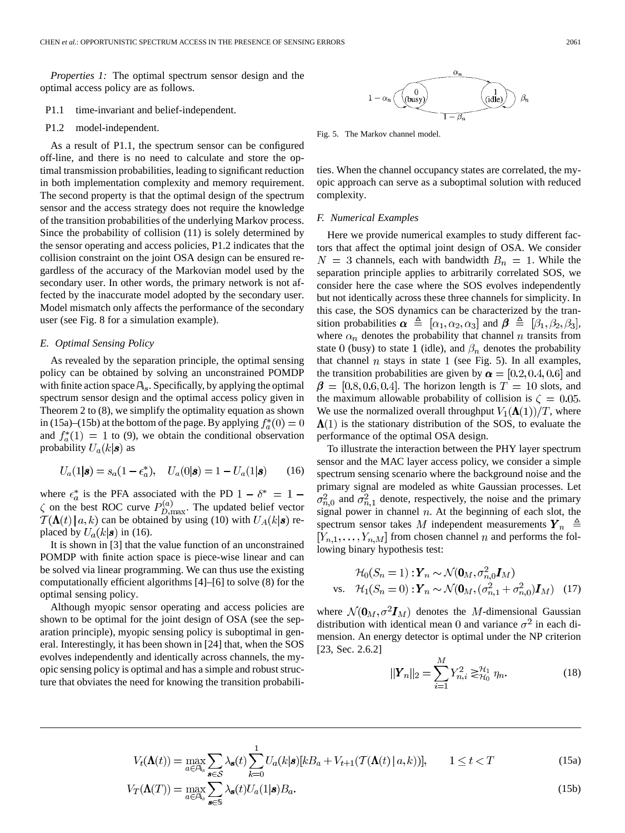*Properties 1:* The optimal spectrum sensor design and the optimal access policy are as follows.

- P1.1 time-invariant and belief-independent.
- P1.2 model-independent.

As a result of P1.1, the spectrum sensor can be configured off-line, and there is no need to calculate and store the optimal transmission probabilities, leading to significant reduction in both implementation complexity and memory requirement. The second property is that the optimal design of the spectrum sensor and the access strategy does not require the knowledge of the transition probabilities of the underlying Markov process. Since the probability of collision (11) is solely determined by the sensor operating and access policies, P1.2 indicates that the collision constraint on the joint OSA design can be ensured regardless of the accuracy of the Markovian model used by the secondary user. In other words, the primary network is not affected by the inaccurate model adopted by the secondary user. Model mismatch only affects the performance of the secondary user (see Fig. 8 for a simulation example).

#### *E. Optimal Sensing Policy*

As revealed by the separation principle, the optimal sensing policy can be obtained by solving an unconstrained POMDP with finite action space  $A_s$ . Specifically, by applying the optimal spectrum sensor design and the optimal access policy given in Theorem 2 to (8), we simplify the optimality equation as shown in (15a)–(15b) at the bottom of the page. By applying  $f_a^*(0) = 0$ and  $f_a^*(1) = 1$  to (9), we obtain the conditional observation probability  $U_a(k|\mathbf{s})$  as

$$
U_a(1|\mathbf{s}) = s_a(1 - \epsilon_a^*), \quad U_a(0|\mathbf{s}) = 1 - U_a(1|\mathbf{s}) \tag{16}
$$

where  $\epsilon_a^*$  is the PFA associated with the PD on the best ROC curve  $P_{D,\text{max}}^{(a)}$ . The updated belief vector can be obtained by using (10) with  $U_A(k|\mathbf{s})$  replaced by  $U_a(k|\mathbf{s})$  in (16).

It is shown in [3] that the value function of an unconstrained POMDP with finite action space is piece-wise linear and can be solved via linear programming. We can thus use the existing computationally efficient algorithms [4]–[6] to solve (8) for the optimal sensing policy.

Although myopic sensor operating and access policies are shown to be optimal for the joint design of OSA (see the separation principle), myopic sensing policy is suboptimal in general. Interestingly, it has been shown in [24] that, when the SOS evolves independently and identically across channels, the myopic sensing policy is optimal and has a simple and robust structure that obviates the need for knowing the transition probabili-



Fig. 5. The Markov channel model.

ties. When the channel occupancy states are correlated, the myopic approach can serve as a suboptimal solution with reduced complexity.

#### *F. Numerical Examples*

Here we provide numerical examples to study different factors that affect the optimal joint design of OSA. We consider  $N = 3$  channels, each with bandwidth  $B_n = 1$ . While the separation principle applies to arbitrarily correlated SOS, we consider here the case where the SOS evolves independently but not identically across these three channels for simplicity. In this case, the SOS dynamics can be characterized by the transition probabilities  $\alpha \triangleq [\alpha_1, \alpha_2, \alpha_3]$  and  $\beta \triangleq [\beta_1, \beta_2, \beta_3]$ , where  $\alpha_n$  denotes the probability that channel n transits from state 0 (busy) to state 1 (idle), and  $\beta_n$  denotes the probability that channel  $n$  stays in state 1 (see Fig. 5). In all examples, the transition probabilities are given by  $\alpha = [0.2, 0.4, 0.6]$  and  $\beta = [0.8, 0.6, 0.4]$ . The horizon length is  $T = 10$  slots, and the maximum allowable probability of collision is  $\zeta = 0.05$ . We use the normalized overall throughput  $V_1(\Lambda(1))/T$ , where  $\Lambda(1)$  is the stationary distribution of the SOS, to evaluate the performance of the optimal OSA design.

To illustrate the interaction between the PHY layer spectrum sensor and the MAC layer access policy, we consider a simple spectrum sensing scenario where the background noise and the primary signal are modeled as white Gaussian processes. Let  $\sigma_{n,0}^2$  and  $\sigma_{n,1}^2$  denote, respectively, the noise and the primary signal power in channel  $n$ . At the beginning of each slot, the spectrum sensor takes M independent measurements  $Y_n \triangleq$  $[Y_{n,1},...,Y_{n,M}]$  from chosen channel n and performs the following binary hypothesis test:

$$
\mathcal{H}_0(S_n = 1) : \mathbf{Y}_n \sim \mathcal{N}(\mathbf{0}_M, \sigma_{n,0}^2 \mathbf{I}_M)
$$
  
vs. 
$$
\mathcal{H}_1(S_n = 0) : \mathbf{Y}_n \sim \mathcal{N}(\mathbf{0}_M, (\sigma_{n,1}^2 + \sigma_{n,0}^2) \mathbf{I}_M)
$$
 (17)

where  $\mathcal{N}(\mathbf{0}_M, \sigma^2 \mathbf{I}_M)$  denotes the M-dimensional Gaussian distribution with identical mean 0 and variance  $\sigma^2$  in each dimension. An energy detector is optimal under the NP criterion [23, Sec. 2.6.2]

$$
\|\mathbf{Y}_n\|_2 = \sum_{i=1}^M Y_{n,i}^2 \gtrsim_{\mathcal{H}_0}^{\mathcal{H}_1} \eta_n.
$$
 (18)

$$
V_t(\mathbf{\Lambda}(t)) = \max_{a \in A_s} \sum_{\mathbf{s} \in S} \lambda_{\mathbf{s}}(t) \sum_{k=0}^1 U_a(k|\mathbf{s})[kB_a + V_{t+1}(T(\mathbf{\Lambda}(t) \mid a, k))], \qquad 1 \le t < T
$$
\n
$$
V_T(\mathbf{\Lambda}(T)) = \max_{a \in A_s} \sum_{\mathbf{s} \in S} \lambda_{\mathbf{s}}(t)U_a(1|\mathbf{s})B_a. \tag{15b}
$$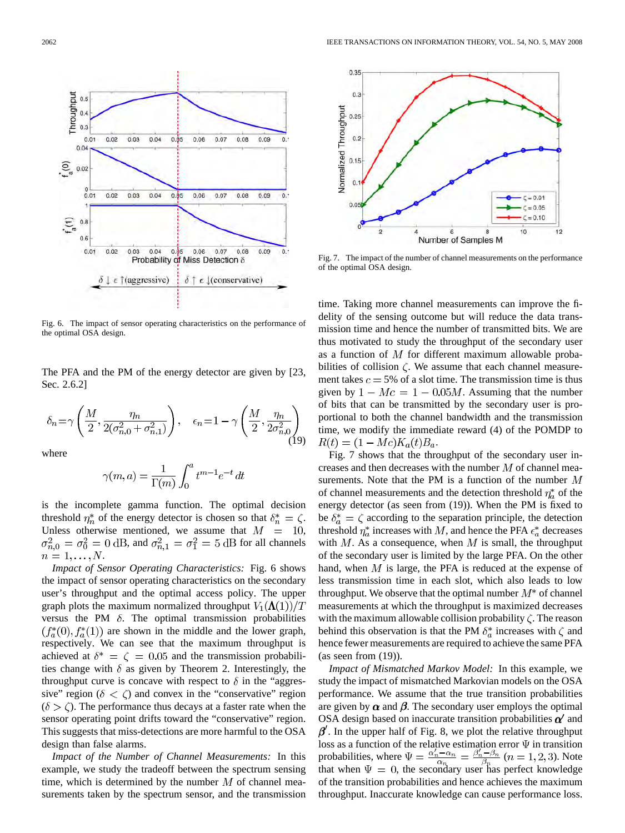

Fig. 6. The impact of sensor operating characteristics on the performance of the optimal OSA design.

The PFA and the PM of the energy detector are given by [23, Sec. 2.6.2]

$$
\delta_n = \gamma \left( \frac{M}{2}, \frac{\eta_n}{2(\sigma_{n,0}^2 + \sigma_{n,1}^2)} \right), \quad \epsilon_n = 1 - \gamma \left( \frac{M}{2}, \frac{\eta_n}{2\sigma_{n,0}^2} \right)
$$
\n(19)

where

$$
\gamma(m,a) = \frac{1}{\Gamma(m)} \int_0^a t^{m-1} e^{-t} dt
$$

is the incomplete gamma function. The optimal decision threshold  $\eta_n^*$  of the energy detector is chosen so that  $\delta_n^* = \zeta$ . Unless otherwise mentioned, we assume that  $M = 10$ , , and  $\sigma_{n,1}^2 = \sigma_1^2 = 5$  dB for all channels  $n=1,\ldots,N.$ 

*Impact of Sensor Operating Characteristics:* Fig. 6 shows the impact of sensor operating characteristics on the secondary user's throughput and the optimal access policy. The upper graph plots the maximum normalized throughput  $V_1(\Lambda(1))/T$ versus the PM  $\delta$ . The optimal transmission probabilities  $(f_a^*(0), f_a^*(1))$  are shown in the middle and the lower graph, respectively. We can see that the maximum throughput is achieved at  $\delta^* = \zeta = 0.05$  and the transmission probabilities change with  $\delta$  as given by Theorem 2. Interestingly, the throughput curve is concave with respect to  $\delta$  in the "aggressive" region ( $\delta < \zeta$ ) and convex in the "conservative" region  $(\delta > \zeta)$ . The performance thus decays at a faster rate when the sensor operating point drifts toward the "conservative" region. This suggests that miss-detections are more harmful to the OSA design than false alarms.

*Impact of the Number of Channel Measurements:* In this example, we study the tradeoff between the spectrum sensing time, which is determined by the number  $M$  of channel measurements taken by the spectrum sensor, and the transmission



Fig. 7. The impact of the number of channel measurements on the performance of the optimal OSA design.

time. Taking more channel measurements can improve the fidelity of the sensing outcome but will reduce the data transmission time and hence the number of transmitted bits. We are thus motivated to study the throughput of the secondary user as a function of  $M$  for different maximum allowable probabilities of collision  $\zeta$ . We assume that each channel measurement takes  $c = 5\%$  of a slot time. The transmission time is thus given by  $1 - Mc = 1 - 0.05M$ . Assuming that the number of bits that can be transmitted by the secondary user is proportional to both the channel bandwidth and the transmission time, we modify the immediate reward (4) of the POMDP to  $R(t) = (1 - Mc)K_a(t)B_a.$ 

Fig. 7 shows that the throughput of the secondary user increases and then decreases with the number  $M$  of channel measurements. Note that the PM is a function of the number  $M$ of channel measurements and the detection threshold  $\eta_a^*$  of the energy detector (as seen from (19)). When the PM is fixed to be  $\delta_a^* = \zeta$  according to the separation principle, the detection threshold  $\eta_a^*$  increases with M, and hence the PFA  $\epsilon_a^*$  decreases with  $M$ . As a consequence, when  $M$  is small, the throughput of the secondary user is limited by the large PFA. On the other hand, when  $M$  is large, the PFA is reduced at the expense of less transmission time in each slot, which also leads to low throughput. We observe that the optimal number  $M^*$  of channel measurements at which the throughput is maximized decreases with the maximum allowable collision probability  $\zeta$ . The reason behind this observation is that the PM  $\delta^*$  increases with  $\zeta$  and hence fewer measurements are required to achieve the same PFA (as seen from (19)).

*Impact of Mismatched Markov Model:* In this example, we study the impact of mismatched Markovian models on the OSA performance. We assume that the true transition probabilities are given by  $\alpha$  and  $\beta$ . The secondary user employs the optimal OSA design based on inaccurate transition probabilities  $\alpha'$  and  $\beta'$ . In the upper half of Fig. 8, we plot the relative throughput loss as a function of the relative estimation error  $\Psi$  in transition probabilities, where  $\Psi = \frac{\alpha_n - \alpha_n}{\alpha} = \frac{\beta_n - \beta_n}{\beta}$   $(n = 1, 2, 3)$ . Note that when  $\Psi = 0$ , the secondary user has perfect knowledge of the transition probabilities and hence achieves the maximum throughput. Inaccurate knowledge can cause performance loss.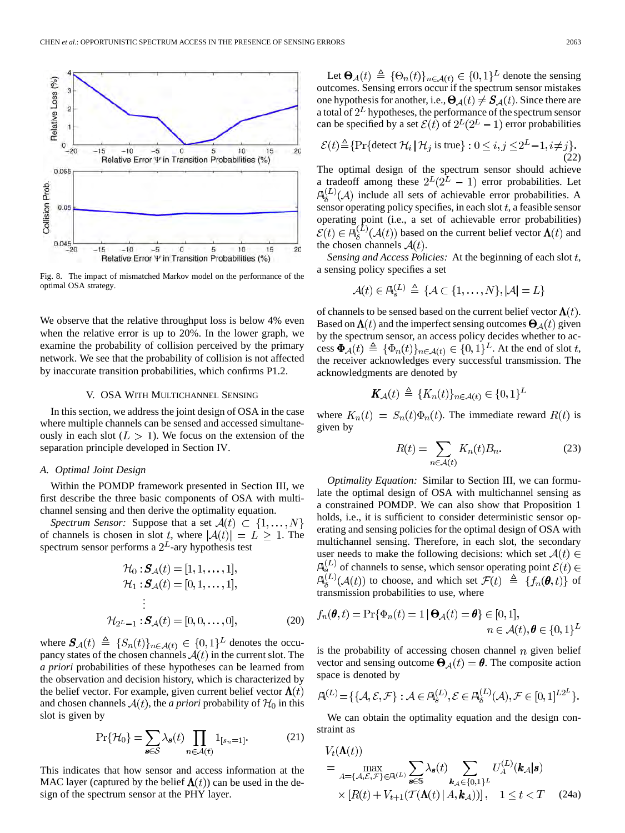

Fig. 8. The impact of mismatched Markov model on the performance of the optimal OSA strategy.

We observe that the relative throughput loss is below 4% even when the relative error is up to 20%. In the lower graph, we examine the probability of collision perceived by the primary network. We see that the probability of collision is not affected by inaccurate transition probabilities, which confirms P1.2.

#### V. OSA WITH MULTICHANNEL SENSING

In this section, we address the joint design of OSA in the case where multiple channels can be sensed and accessed simultaneously in each slot  $(L > 1)$ . We focus on the extension of the separation principle developed in Section IV.

#### *A. Optimal Joint Design*

Within the POMDP framework presented in Section III, we first describe the three basic components of OSA with multichannel sensing and then derive the optimality equation.

*Spectrum Sensor:* Suppose that a set  $A(t) \subset \{1, ..., N\}$ of channels is chosen in slot t, where  $|\mathcal{A}(t)| = L \geq 1$ . The spectrum sensor performs a  $2^L$ -ary hypothesis test

$$
\mathcal{H}_0: \mathbf{S}_{\mathcal{A}}(t) = [1, 1, ..., 1], \n\mathcal{H}_1: \mathbf{S}_{\mathcal{A}}(t) = [0, 1, ..., 1], \n\vdots \n\mathcal{H}_{2^L-1}: \mathbf{S}_{\mathcal{A}}(t) = [0, 0, ..., 0],
$$
\n(20)

where  $S_{\mathcal{A}}(t) \triangleq \{S_n(t)\}_{n \in \mathcal{A}(t)} \in \{0,1\}^L$  denotes the occupancy states of the chosen channels  $A(t)$  in the current slot. The *a priori* probabilities of these hypotheses can be learned from the observation and decision history, which is characterized by the belief vector. For example, given current belief vector  $\Lambda(t)$ and chosen channels  $A(t)$ , the *a priori* probability of  $H_0$  in this slot is given by

$$
\Pr\{\mathcal{H}_0\} = \sum_{\mathbf{s} \in \mathcal{S}} \lambda_{\mathbf{s}}(t) \prod_{n \in \mathcal{A}(t)} 1_{[s_n = 1]}.
$$
 (21)

This indicates that how sensor and access information at the MAC layer (captured by the belief  $\Lambda(t)$ ) can be used in the design of the spectrum sensor at the PHY layer.

Let  $\Theta_{\mathcal{A}}(t) \triangleq {\Theta_n(t)}_{n \in \mathcal{A}(t)} \in \{0,1\}^L$  denote the sensing outcomes. Sensing errors occur if the spectrum sensor mistakes one hypothesis for another, i.e.,  $\mathbf{\Theta}_{\mathcal{A}}(t) \neq \mathbf{S}_{\mathcal{A}}(t)$ . Since there are a total of  $2^L$  hypotheses, the performance of the spectrum sensor can be specified by a set  $\mathcal{E}(t)$  of  $2^L(2^L - 1)$  error probabilities

$$
\mathcal{E}(t) \stackrel{\Delta}{=} \{ \Pr\{\text{detect } \mathcal{H}_i \mid \mathcal{H}_j \text{ is true} \} : 0 \le i, j \le 2^L - 1, i \ne j \}. \tag{22}
$$

The optimal design of the spectrum sensor should achieve a tradeoff among these  $2^L(2^L - 1)$  error probabilities. Let  $A_{\delta}^{(L)}(\mathcal{A})$  include all sets of achievable error probabilities. A sensor operating policy specifies, in each slot  $t$ , a feasible sensor operating point (i.e., a set of achievable error probabilities)  $\mathcal{E}(t) \in \overline{\mathsf{A}_{\delta}^{(L)}}(\mathcal{A}(t))$  based on the current belief vector  $\mathbf{\Lambda}(t)$  and the chosen channels  $A(t)$ .

*Sensing and Access Policies:* At the beginning of each slot t, a sensing policy specifies a set

$$
A(t) \in \mathcal{A}_s^{(L)} \triangleq \{ \mathcal{A} \subset \{1, \dots, N\}, |\mathcal{A}| = L \}
$$

of channels to be sensed based on the current belief vector  $\Lambda(t)$ . Based on  $\Lambda(t)$  and the imperfect sensing outcomes  $\Theta_{\mathcal{A}}(t)$  given by the spectrum sensor, an access policy decides whether to access  $\Phi_{\mathcal{A}}(t) \triangleq {\Phi_n(t)}_{n \in \mathcal{A}(t)} \in \{0,1\}^L$ . At the end of slot t, the receiver acknowledges every successful transmission. The acknowledgments are denoted by

$$
\mathbf{K}_{\mathcal{A}}(t) \triangleq \{K_n(t)\}_{n \in \mathcal{A}(t)} \in \{0,1\}^L
$$

where  $K_n(t) = S_n(t)\Phi_n(t)$ . The immediate reward  $R(t)$  is given by

$$
R(t) = \sum_{n \in \mathcal{A}(t)} K_n(t) B_n.
$$
 (23)

*Optimality Equation:* Similar to Section III, we can formulate the optimal design of OSA with multichannel sensing as a constrained POMDP. We can also show that Proposition 1 holds, *i.e.*, it is sufficient to consider deterministic sensor operating and sensing policies for the optimal design of OSA with multichannel sensing. Therefore, in each slot, the secondary user needs to make the following decisions: which set  $A(t) \in$  $A_s^{(L)}$  of channels to sense, which sensor operating point  $\mathcal{E}(t) \in$  $\mathbb{A}_{s}^{(L)}(\mathcal{A}(t))$  to choose, and which set  $\mathcal{F}(t) \triangleq \{f_n(\theta,t)\}\$  of transmission probabilities to use, where

$$
f_n(\boldsymbol{\theta}, t) = \Pr{\Phi_n(t) = 1 | \boldsymbol{\Theta}_{\mathcal{A}}(t) = \boldsymbol{\theta}} \in [0, 1],
$$
  

$$
n \in \mathcal{A}(t), \boldsymbol{\theta} \in \{0, 1\}^L
$$

is the probability of accessing chosen channel  $n$  given belief vector and sensing outcome  $\Theta_{\mathcal{A}}(t) = \theta$ . The composite action space is denoted by

$$
\mathsf{A}^{(L)} = \{ \{\mathcal{A}, \mathcal{E}, \mathcal{F}\} : \mathcal{A} \in \mathsf{A}_s^{(L)}, \mathcal{E} \in \mathsf{A}_\delta^{(L)}(\mathcal{A}), \mathcal{F} \in [0,1]^{L2^L} \}.
$$

We can obtain the optimality equation and the design constraint as

وبالرابيات كالمحال

$$
V_t(\mathbf{\Lambda}(t))
$$
  
=  $\max_{A=\{\mathcal{A}, \mathcal{E}, \mathcal{F}\}\in \mathcal{A}^{(L)}} \sum_{\mathbf{s}\in \mathbb{S}} \lambda_{\mathbf{s}}(t) \sum_{\mathbf{k}_{\mathcal{A}}\in \{0,1\}^L} U_{\mathcal{A}}^{(L)}(\mathbf{k}_{\mathcal{A}}|\mathbf{s})$   
×  $[R(t) + V_{t+1}(\mathcal{T}(\mathbf{\Lambda}(t) | A, \mathbf{k}_{\mathcal{A}}))], \quad 1 \le t < T$  (24a)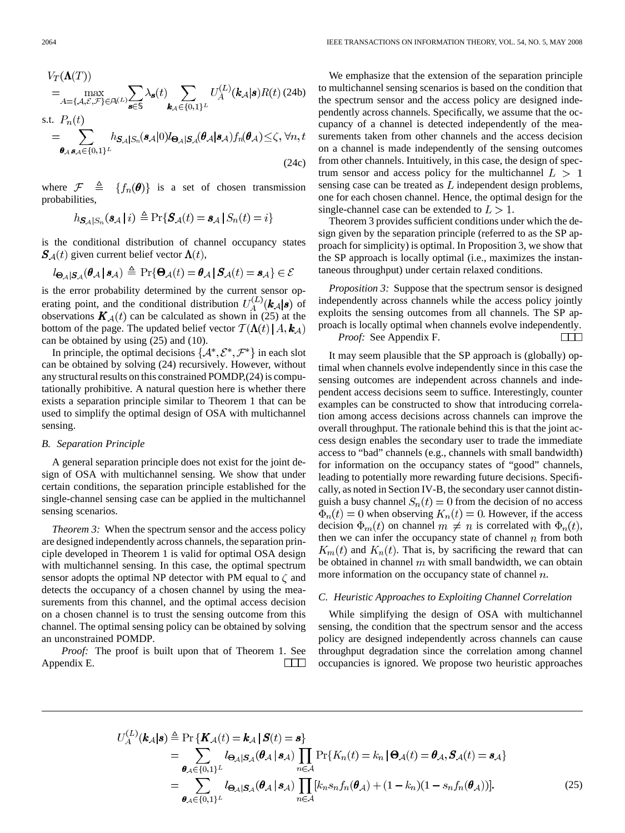where  $\mathcal{F} \triangleq \{f_n(\boldsymbol{\theta})\}$  is a set of chosen transmission probabilities,

$$
h_{\mathbf{S}_{\mathcal{A}}|S_n}(\mathbf{s}_{\mathcal{A}}|i) \triangleq \Pr\{\mathbf{S}_{\mathcal{A}}(t) = \mathbf{s}_{\mathcal{A}}|S_n(t) = i\}
$$

is the conditional distribution of channel occupancy states  $S_{\mathcal{A}}(t)$  given current belief vector  $\Lambda(t)$ ,

$$
l_{\boldsymbol{\Theta}_{\mathcal{A}}|\boldsymbol{S}_{\mathcal{A}}}(\boldsymbol{\theta}_{\mathcal{A}}|\boldsymbol{s}_{\mathcal{A}}) \triangleq \Pr\{\boldsymbol{\Theta}_{\mathcal{A}}(t) = \boldsymbol{\theta}_{\mathcal{A}}|\boldsymbol{S}_{\mathcal{A}}(t) = \boldsymbol{s}_{\mathcal{A}}\} \in \mathcal{E}
$$

is the error probability determined by the current sensor operating point, and the conditional distribution  $U_A^{(L)}(\mathbf{k}_A|\mathbf{s})$  of observations  $\mathbf{K}_{\mathcal{A}}(t)$  can be calculated as shown in (25) at the bottom of the page. The updated belief vector  $T(\mathbf{\Lambda}(t) | A, \mathbf{k}_{\mathcal{A}})$ can be obtained by using (25) and (10).

In principle, the optimal decisions  $\{A^*, \mathcal{E}^*, \mathcal{F}^*\}$  in each slot can be obtained by solving (24) recursively. However, without any structural results on this constrained POMDP,(24) is computationally prohibitive. A natural question here is whether there exists a separation principle similar to Theorem 1 that can be used to simplify the optimal design of OSA with multichannel sensing.

#### *B. Separation Principle*

A general separation principle does not exist for the joint design of OSA with multichannel sensing. We show that under certain conditions, the separation principle established for the single-channel sensing case can be applied in the multichannel sensing scenarios.

*Theorem 3:* When the spectrum sensor and the access policy are designed independently across channels, the separation principle developed in Theorem 1 is valid for optimal OSA design with multichannel sensing. In this case, the optimal spectrum sensor adopts the optimal NP detector with PM equal to  $\zeta$  and detects the occupancy of a chosen channel by using the measurements from this channel, and the optimal access decision on a chosen channel is to trust the sensing outcome from this channel. The optimal sensing policy can be obtained by solving an unconstrained POMDP.

*Proof:* The proof is built upon that of Theorem 1. See Appendix E. <u>a shekara</u>

We emphasize that the extension of the separation principle to multichannel sensing scenarios is based on the condition that the spectrum sensor and the access policy are designed independently across channels. Specifically, we assume that the occupancy of a channel is detected independently of the measurements taken from other channels and the access decision on a channel is made independently of the sensing outcomes from other channels. Intuitively, in this case, the design of spectrum sensor and access policy for the multichannel  $L > 1$ sensing case can be treated as  $L$  independent design problems, one for each chosen channel. Hence, the optimal design for the single-channel case can be extended to  $L > 1$ .

Theorem 3 provides sufficient conditions under which the design given by the separation principle (referred to as the SP approach for simplicity) is optimal. In Proposition 3, we show that the SP approach is locally optimal (i.e., maximizes the instantaneous throughput) under certain relaxed conditions.

*Proposition 3:* Suppose that the spectrum sensor is designed independently across channels while the access policy jointly exploits the sensing outcomes from all channels. The SP approach is locally optimal when channels evolve independently. *Proof:* See Appendix F.  $\Box$ 

It may seem plausible that the SP approach is (globally) optimal when channels evolve independently since in this case the sensing outcomes are independent across channels and independent access decisions seem to suffice. Interestingly, counter examples can be constructed to show that introducing correlation among access decisions across channels can improve the overall throughput. The rationale behind this is that the joint access design enables the secondary user to trade the immediate access to "bad" channels (e.g., channels with small bandwidth) for information on the occupancy states of "good" channels, leading to potentially more rewarding future decisions. Specifically, as noted in Section IV-B, the secondary user cannot distinguish a busy channel  $S_n(t) = 0$  from the decision of no access  $\Phi_n(t) = 0$  when observing  $K_n(t) = 0$ . However, if the access decision  $\Phi_m(t)$  on channel  $m \neq n$  is correlated with  $\Phi_n(t)$ , then we can infer the occupancy state of channel  $n$  from both  $K_m(t)$  and  $K_n(t)$ . That is, by sacrificing the reward that can be obtained in channel  $m$  with small bandwidth, we can obtain more information on the occupancy state of channel  $n$ .

#### *C. Heuristic Approaches to Exploiting Channel Correlation*

While simplifying the design of OSA with multichannel sensing, the condition that the spectrum sensor and the access policy are designed independently across channels can cause throughput degradation since the correlation among channel occupancies is ignored. We propose two heuristic approaches

$$
U_A^{(L)}(\mathbf{k}_A|\mathbf{s}) \triangleq \Pr\{K_A(t) = \mathbf{k}_A \mid S(t) = \mathbf{s}\}
$$
  
= 
$$
\sum_{\theta_A \in \{0,1\}^L} l_{\theta_A|\mathbf{S}_A}(\theta_A|\mathbf{s}_A) \prod_{n \in A} \Pr\{K_n(t) = k_n \mid \theta_A(t) = \theta_A, \mathbf{S}_A(t) = \mathbf{s}_A\}
$$
  
= 
$$
\sum_{\theta_A \in \{0,1\}^L} l_{\theta_A|\mathbf{S}_A}(\theta_A|\mathbf{s}_A) \prod_{n \in A} [k_n s_n f_n(\theta_A) + (1 - k_n)(1 - s_n f_n(\theta_A))].
$$
 (25)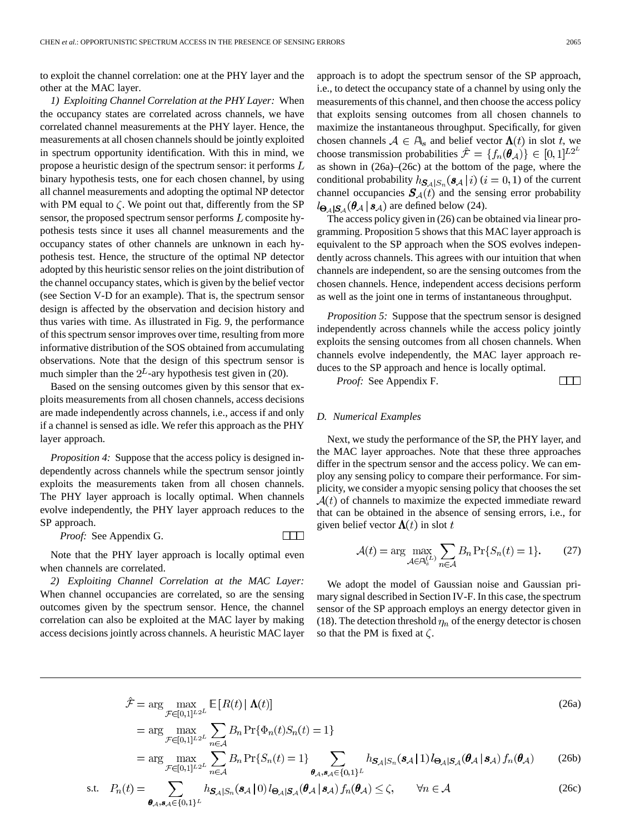to exploit the channel correlation: one at the PHY layer and the other at the MAC layer.

*1) Exploiting Channel Correlation at the PHY Layer:* When the occupancy states are correlated across channels, we have correlated channel measurements at the PHY layer. Hence, the measurements at all chosen channels should be jointly exploited in spectrum opportunity identification. With this in mind, we propose a heuristic design of the spectrum sensor: it performs  $L$ binary hypothesis tests, one for each chosen channel, by using all channel measurements and adopting the optimal NP detector with PM equal to  $\zeta$ . We point out that, differently from the SP sensor, the proposed spectrum sensor performs  $L$  composite hypothesis tests since it uses all channel measurements and the occupancy states of other channels are unknown in each hypothesis test. Hence, the structure of the optimal NP detector adopted by this heuristic sensor relies on the joint distribution of the channel occupancy states, which is given by the belief vector (see Section V-D for an example). That is, the spectrum sensor design is affected by the observation and decision history and thus varies with time. As illustrated in Fig. 9, the performance of this spectrum sensor improves over time, resulting from more informative distribution of the SOS obtained from accumulating observations. Note that the design of this spectrum sensor is much simpler than the  $2^L$ -ary hypothesis test given in (20).

Based on the sensing outcomes given by this sensor that exploits measurements from all chosen channels, access decisions are made independently across channels, i.e., access if and only if a channel is sensed as idle. We refer this approach as the PHY layer approach.

*Proposition 4:* Suppose that the access policy is designed independently across channels while the spectrum sensor jointly exploits the measurements taken from all chosen channels. The PHY layer approach is locally optimal. When channels evolve independently, the PHY layer approach reduces to the SP approach.

*Proof:* See Appendix G. 

Note that the PHY layer approach is locally optimal even when channels are correlated.

*2) Exploiting Channel Correlation at the MAC Layer:* When channel occupancies are correlated, so are the sensing outcomes given by the spectrum sensor. Hence, the channel correlation can also be exploited at the MAC layer by making access decisions jointly across channels. A heuristic MAC layer approach is to adopt the spectrum sensor of the SP approach, i.e., to detect the occupancy state of a channel by using only the measurements of this channel, and then choose the access policy that exploits sensing outcomes from all chosen channels to maximize the instantaneous throughput. Specifically, for given chosen channels  $A \in \mathcal{A}_s$  and belief vector  $\Lambda(t)$  in slot t, we choose transmission probabilities  $\hat{\mathcal{F}} = \{f_n(\theta_{\mathcal{A}})\} \in [0,1]^{L2^L}$ as shown in (26a)–(26c) at the bottom of the page, where the conditional probability  $h_{\mathbf{S}_A|S_n}(\mathbf{s}_A|i)$  ( $i = 0,1$ ) of the current channel occupancies  $S_{\mathcal{A}}(t)$  and the sensing error probability  $l_{\mathbf{\Theta}_{\mathcal{A}}|\mathbf{S}_{\mathcal{A}}}(\theta_{\mathcal{A}} | \mathbf{s}_{\mathcal{A}})$  are defined below (24).

The access policy given in (26) can be obtained via linear programming. Proposition 5 shows that this MAC layer approach is equivalent to the SP approach when the SOS evolves independently across channels. This agrees with our intuition that when channels are independent, so are the sensing outcomes from the chosen channels. Hence, independent access decisions perform as well as the joint one in terms of instantaneous throughput.

*Proposition 5:* Suppose that the spectrum sensor is designed independently across channels while the access policy jointly exploits the sensing outcomes from all chosen channels. When channels evolve independently, the MAC layer approach reduces to the SP approach and hence is locally optimal.

*Proof:* See Appendix F.  $\Box$ 

#### *D. Numerical Examples*

Next, we study the performance of the SP, the PHY layer, and the MAC layer approaches. Note that these three approaches differ in the spectrum sensor and the access policy. We can employ any sensing policy to compare their performance. For simplicity, we consider a myopic sensing policy that chooses the set  $\mathcal{A}(t)$  of channels to maximize the expected immediate reward that can be obtained in the absence of sensing errors, i.e., for given belief vector  $\Lambda(t)$  in slot t

$$
\mathcal{A}(t) = \arg \max_{\mathcal{A} \in \mathcal{A}_s^{(L)}} \sum_{n \in \mathcal{A}} B_n \Pr\{S_n(t) = 1\}.
$$
 (27)

We adopt the model of Gaussian noise and Gaussian primary signal described in Section IV-F. In this case, the spectrum sensor of the SP approach employs an energy detector given in (18). The detection threshold  $\eta_n$  of the energy detector is chosen so that the PM is fixed at  $\zeta$ .

$$
\hat{\mathcal{F}} = \arg \max_{\mathcal{F} \in [0,1]^{L2^L}} \mathbb{E} [R(t) | \mathbf{\Lambda}(t)] \tag{26a}
$$
\n
$$
= \arg \max_{\mathcal{F} \in [0,1]^{L2^L}} \sum_{n \in \mathcal{A}} B_n \Pr{\Phi_n(t) S_n(t) = 1}
$$
\n
$$
= \arg \max_{\mathcal{F} \in [0,1]^{L2^L}} \sum_{n \in \mathcal{A}} B_n \Pr{S_n(t) = 1} \sum_{\theta_{\mathcal{A}}, \mathbf{s}_{\mathcal{A}} \in \{0,1\}^L} h_{\mathbf{S}_{\mathcal{A}}|S_n}(\mathbf{s}_{\mathcal{A}} | 1) l_{\mathbf{\Theta}_{\mathcal{A}}|\mathbf{S}_{\mathcal{A}}}(\theta_{\mathcal{A}} | \mathbf{s}_{\mathcal{A}}) f_n(\theta_{\mathcal{A}}) \tag{26b}
$$
\ns.t.  $P_n(t) = \sum_{\theta_{\mathcal{A}}, \mathbf{s}_{\mathcal{A}} \in \{0,1\}^L} h_{\mathbf{S}_{\mathcal{A}}|S_n}(\mathbf{s}_{\mathcal{A}} | 0) l_{\mathbf{\Theta}_{\mathcal{A}}|S_{\mathcal{A}}}(\theta_{\mathcal{A}} | \mathbf{s}_{\mathcal{A}}) f_n(\theta_{\mathcal{A}}) \le \zeta, \qquad \forall n \in \mathcal{A} \tag{26c}$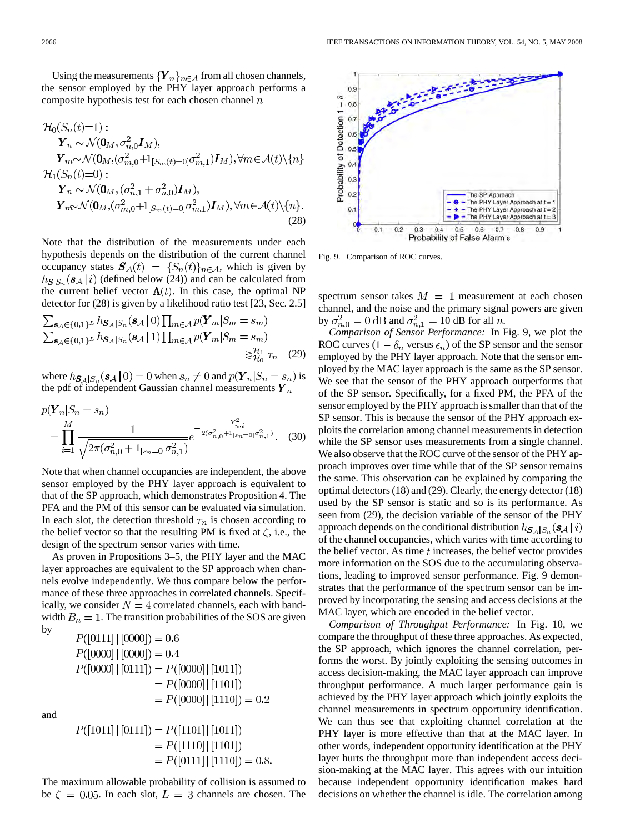Using the measurements  ${Y_n}_{n \in A}$  from all chosen channels, the sensor employed by the PHY layer approach performs a composite hypothesis test for each chosen channel  $n$ 

$$
\mathcal{H}_0(S_n(t)=1):
$$
\n
$$
\mathbf{Y}_n \sim \mathcal{N}(\mathbf{0}_M, \sigma_{n,0}^2 \mathbf{I}_M),
$$
\n
$$
\mathbf{Y}_m \sim \mathcal{N}(\mathbf{0}_M, (\sigma_{m,0}^2 + 1_{[S_m(t)=0]}\sigma_{m,1}^2)\mathbf{I}_M), \forall m \in \mathcal{A}(t) \setminus \{n\}
$$
\n
$$
\mathcal{H}_1(S_n(t)=0):
$$
\n
$$
\mathbf{Y}_n \sim \mathcal{N}(\mathbf{0}_M, (\sigma_{n,1}^2 + \sigma_{n,0}^2)\mathbf{I}_M),
$$
\n
$$
\mathbf{Y}_m \sim \mathcal{N}(\mathbf{0}_M, (\sigma_{m,0}^2 + 1_{[S_m(t)=0]}\sigma_{m,1}^2)\mathbf{I}_M), \forall m \in \mathcal{A}(t) \setminus \{n\}.
$$
\n(28)

Note that the distribution of the measurements under each hypothesis depends on the distribution of the current channel occupancy states  $S_{\mathcal{A}}(t) = \{S_n(t)\}_{n \in \mathcal{A}}$ , which is given by  $h_{S|S_n}(\mathbf{s}_A | i)$  (defined below (24)) and can be calculated from the current belief vector  $\Lambda(t)$ . In this case, the optimal NP detector for (28) is given by a likelihood ratio test [23, Sec. 2.5]

$$
\frac{\sum_{\mathbf{s}_{\mathcal{A}} \in \{0,1\}^L} h_{\mathbf{S}_{\mathcal{A}} | S_n}(\mathbf{s}_{\mathcal{A}} | 0) \prod_{m \in \mathcal{A}} p(\mathbf{Y}_m | S_m = s_m)}{\sum_{\mathbf{s}_{\mathcal{A}} \in \{0,1\}^L} h_{\mathbf{S}_{\mathcal{A}} | S_n}(\mathbf{s}_{\mathcal{A}} | 1) \prod_{m \in \mathcal{A}} p(\mathbf{Y}_m | S_m = s_m)} \geq \frac{\mathcal{H}_1}{\mathcal{H}_0} \tau_n \quad (29)
$$

where  $h_{S_A|S_n}(\mathbf{s}_A|0) = 0$  when  $s_n \neq 0$  and  $p(\mathbf{Y}_n|S_n = s_n)$  is the pdf of independent Gaussian channel measurements  $Y_n$ 

$$
p(\boldsymbol{Y}_n | S_n = s_n)
$$
  
= 
$$
\prod_{i=1}^M \frac{1}{\sqrt{2\pi(\sigma_{n,0}^2 + 1_{[s_n=0]}\sigma_{n,1}^2)}} e^{-\frac{Y_{n,i}^2}{2(\sigma_{n,0}^2 + 1_{[s_n=0]}\sigma_{n,1}^2)}}.
$$
 (30)

Note that when channel occupancies are independent, the above sensor employed by the PHY layer approach is equivalent to that of the SP approach, which demonstrates Proposition 4. The PFA and the PM of this sensor can be evaluated via simulation. In each slot, the detection threshold  $\tau_n$  is chosen according to the belief vector so that the resulting PM is fixed at  $\zeta$ , i.e., the design of the spectrum sensor varies with time.

As proven in Propositions 3–5, the PHY layer and the MAC layer approaches are equivalent to the SP approach when channels evolve independently. We thus compare below the performance of these three approaches in correlated channels. Specifically, we consider  $N = 4$  correlated channels, each with bandwidth  $B_n = 1$ . The transition probabilities of the SOS are given by

$$
P([0111] | [0000]) = 0.6
$$
  
\n
$$
P([0000] | [0000]) = 0.4
$$
  
\n
$$
P([0000] | [0111]) = P([0000] | [1011])
$$
  
\n
$$
= P([0000] | [1101])
$$
  
\n
$$
= P([0000] | [1110])
$$
  
\n
$$
= P([1101] | [1011])
$$
  
\n
$$
= P([1110] | [1101])
$$
  
\n
$$
= P([0111] | [1100])
$$
  
\n
$$
= P([0111] | [1100])
$$
  
\n
$$
= P([0111] | [1100])
$$
  
\n
$$
= 0.8.
$$

an

The maximum allowable probability of collision is assumed to be  $\zeta = 0.05$ . In each slot,  $L = 3$  channels are chosen. The



Fig. 9. Comparison of ROC curves.

spectrum sensor takes  $M = 1$  measurement at each chosen channel, and the noise and the primary signal powers are given by  $\sigma_{n,0}^2 = 0$  dB and  $\sigma_{n,1}^2 = 10$  dB for all n.

*Comparison of Sensor Performance:* In Fig. 9, we plot the ROC curves  $(1 - \delta_n$  versus  $\epsilon_n$ ) of the SP sensor and the sensor employed by the PHY layer approach. Note that the sensor employed by the MAC layer approach is the same as the SP sensor. We see that the sensor of the PHY approach outperforms that of the SP sensor. Specifically, for a fixed PM, the PFA of the sensor employed by the PHY approach is smaller than that of the SP sensor. This is because the sensor of the PHY approach exploits the correlation among channel measurements in detection while the SP sensor uses measurements from a single channel. We also observe that the ROC curve of the sensor of the PHY approach improves over time while that of the SP sensor remains the same. This observation can be explained by comparing the optimal detectors (18) and (29). Clearly, the energy detector (18) used by the SP sensor is static and so is its performance. As seen from (29), the decision variable of the sensor of the PHY approach depends on the conditional distribution  $h_{\mathbf{S}_{A}|S_{n}}(\mathbf{s}_{A}|i)$ of the channel occupancies, which varies with time according to the belief vector. As time  $t$  increases, the belief vector provides more information on the SOS due to the accumulating observations, leading to improved sensor performance. Fig. 9 demonstrates that the performance of the spectrum sensor can be improved by incorporating the sensing and access decisions at the MAC layer, which are encoded in the belief vector.

*Comparison of Throughput Performance:* In Fig. 10, we compare the throughput of these three approaches. As expected, the SP approach, which ignores the channel correlation, performs the worst. By jointly exploiting the sensing outcomes in access decision-making, the MAC layer approach can improve throughput performance. A much larger performance gain is achieved by the PHY layer approach which jointly exploits the channel measurements in spectrum opportunity identification. We can thus see that exploiting channel correlation at the PHY layer is more effective than that at the MAC layer. In other words, independent opportunity identification at the PHY layer hurts the throughput more than independent access decision-making at the MAC layer. This agrees with our intuition because independent opportunity identification makes hard decisions on whether the channel is idle. The correlation among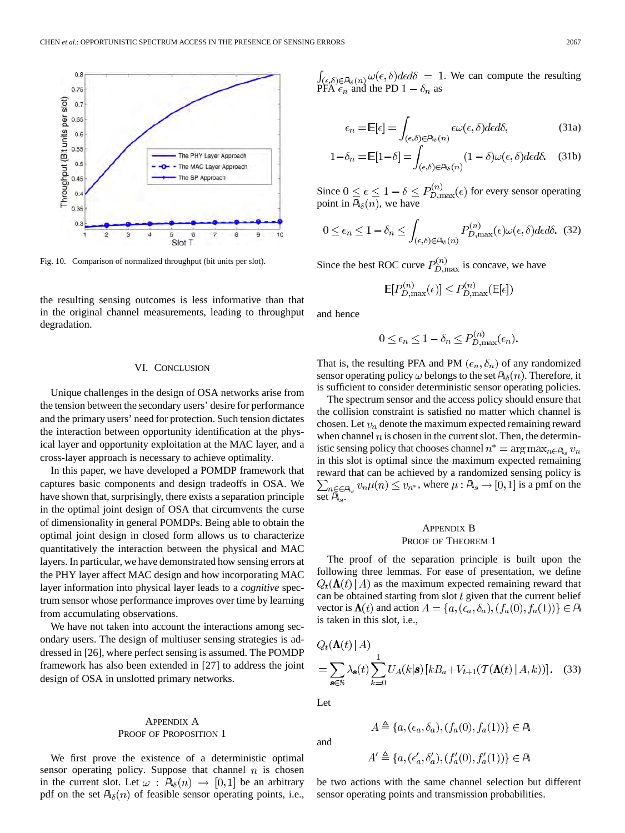

Fig. 10. Comparison of normalized throughput (bit units per slot).

the resulting sensing outcomes is less informative than that in the original channel measurements, leading to throughput degradation.

#### VI. CONCLUSION

Unique challenges in the design of OSA networks arise from the tension between the secondary users' desire for performance and the primary users' need for protection. Such tension dictates the interaction between opportunity identification at the physical layer and opportunity exploitation at the MAC layer, and a cross-layer approach is necessary to achieve optimality.

In this paper, we have developed a POMDP framework that captures basic components and design tradeoffs in OSA. We have shown that, surprisingly, there exists a separation principle in the optimal joint design of OSA that circumvents the curse of dimensionality in general POMDPs. Being able to obtain the optimal joint design in closed form allows us to characterize quantitatively the interaction between the physical and MAC layers. In particular, we have demonstrated how sensing errors at the PHY layer affect MAC design and how incorporating MAC layer information into physical layer leads to a *cognitive* spectrum sensor whose performance improves over time by learning from accumulating observations.

We have not taken into account the interactions among secondary users. The design of multiuser sensing strategies is addressed in [26], where perfect sensing is assumed. The POMDP framework has also been extended in [27] to address the joint design of OSA in unslotted primary networks.

## APPENDIX A PROOF OF PROPOSITION 1

We first prove the existence of a deterministic optimal sensor operating policy. Suppose that channel  $n$  is chosen in the current slot. Let  $\omega$ :  $A_{\delta}(n) \rightarrow [0,1]$  be an arbitrary pdf on the set  $A_{\delta}(n)$  of feasible sensor operating points, i.e.,

. We can compute the resulting PFA  $\epsilon_n$  and the PD  $1 - \delta_n$  as

$$
\epsilon_n = \mathbb{E}[\epsilon] = \int_{(\epsilon,\delta) \in \mathbb{A}_\delta(n)} \epsilon \omega(\epsilon,\delta) d\epsilon d\delta,
$$
 (31a)

$$
1 - \delta_n = \mathbb{E}[1 - \delta] = \int_{(\epsilon, \delta) \in \mathcal{A}_{\delta}(n)} (1 - \delta) \omega(\epsilon, \delta) d\epsilon d\delta. \quad (31b)
$$

Since  $0 \leq \epsilon \leq 1-\delta \leq P_{D\max}^{(n)}(\epsilon)$  for every sensor operating point in  $A_{\delta}(n)$ , we have

$$
0 \le \epsilon_n \le 1 - \delta_n \le \int_{(\epsilon,\delta)\in\mathcal{A}_{\delta}(n)} P_{D,\max}^{(n)}(\epsilon)\omega(\epsilon,\delta)d\epsilon d\delta. \tag{32}
$$

Since the best ROC curve  $P_{D,\text{max}}^{(n)}$  is concave, we have

$$
\mathbb{E}[P_{D,\max}^{(n)}(\epsilon)] \le P_{D,\max}^{(n)}(\mathbb{E}[\epsilon])
$$

and hence

$$
0 \le \epsilon_n \le 1 - \delta_n \le P_{D,\max}^{(n)}(\epsilon_n).
$$

That is, the resulting PFA and PM  $(\epsilon_n, \delta_n)$  of any randomized sensor operating policy  $\omega$  belongs to the set  $A_{\delta}(n)$ . Therefore, it is sufficient to consider deterministic sensor operating policies.

The spectrum sensor and the access policy should ensure that the collision constraint is satisfied no matter which channel is chosen. Let  $v_n$  denote the maximum expected remaining reward when channel  $n$  is chosen in the current slot. Then, the deterministic sensing policy that chooses channel  $n^* = \arg \max_{n \in \mathbb{A}_s} v_n$ in this slot is optimal since the maximum expected remaining reward that can be achieved by a randomized sensing policy is  $\sum_{n \in \text{A}_s} v_n \mu(n) \leq v_{n^*}$ , where  $\mu : \text{A}_s \to [0,1]$  is a pmf on the set  $A_{s}$ 

### APPENDIX B PROOF OF THEOREM 1

The proof of the separation principle is built upon the following three lemmas. For ease of presentation, we define  $Q_t(\mathbf{\Lambda}(t) | A)$  as the maximum expected remaining reward that can be obtained starting from slot  $t$  given that the current belief vector is  $\Lambda(t)$  and action  $A = \{a, (\epsilon_a, \delta_a), (f_a(0), f_a(1))\} \in \mathbb{A}$ is taken in this slot, i.e.,

$$
Q_t(\mathbf{\Lambda}(t) | A)
$$
  
=  $\sum_{\mathbf{s} \in \mathbb{S}} \lambda_{\mathbf{s}}(t) \sum_{k=0}^{1} U_A(k|\mathbf{s}) [kB_a + V_{t+1}(\mathcal{T}(\mathbf{\Lambda}(t) | A, k))].$  (33)

Let

and

 $A \triangleq \{a, (\epsilon_a, \delta_a), (f_a(0), f_a(1))\} \in \mathbb{A}$ 

$$
A' \triangleq \{a, (\epsilon'_a, \delta'_a), (f'_a(0), f'_a(1))\} \in \mathbb{A}
$$

be two actions with the same channel selection but different sensor operating points and transmission probabilities.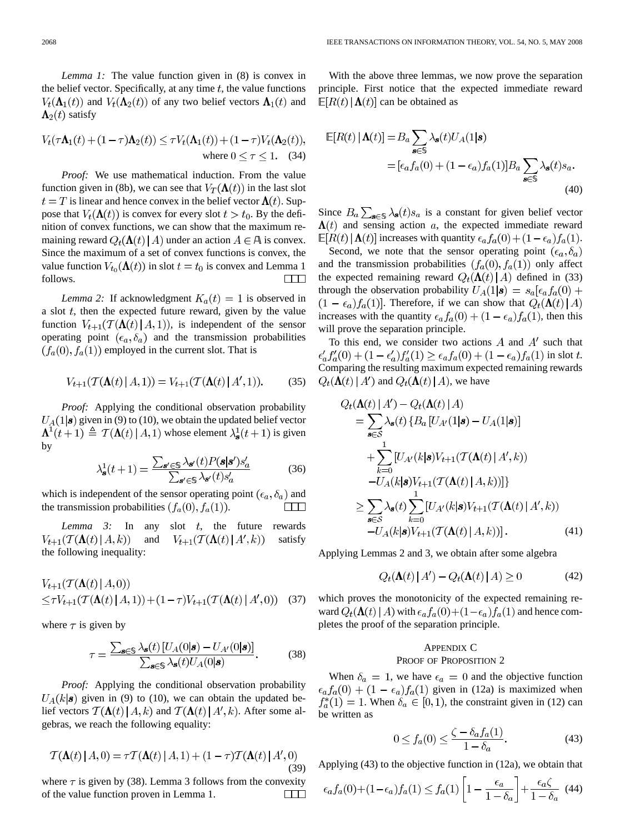*Lemma 1:* The value function given in (8) is convex in the belief vector. Specifically, at any time  $t$ , the value functions  $V_t(\mathbf{\Lambda}_1(t))$  and  $V_t(\mathbf{\Lambda}_2(t))$  of any two belief vectors  $\mathbf{\Lambda}_1(t)$  and  $\Lambda_2(t)$  satisfy

$$
V_t(\tau \Lambda_1(t) + (1 - \tau) \Lambda_2(t)) \leq \tau V_t(\Lambda_1(t)) + (1 - \tau) V_t(\Lambda_2(t)),
$$
  
where  $0 \leq \tau \leq 1$ . (34)

*Proof:* We use mathematical induction. From the value function given in (8b), we can see that  $V_T(\mathbf{\Lambda}(t))$  in the last slot  $t = T$  is linear and hence convex in the belief vector  $\Lambda(t)$ . Suppose that  $V_t(\mathbf{\Lambda}(t))$  is convex for every slot  $t > t_0$ . By the definition of convex functions, we can show that the maximum remaining reward  $Q_t(\mathbf{\Lambda}(t) | A)$  under an action  $A \in \mathcal{A}$  is convex. Since the maximum of a set of convex functions is convex, the value function  $V_{t_0}(\mathbf{\Lambda}(t))$  in slot  $t = t_0$  is convex and Lemma 1 follows. **THE** 

*Lemma 2:* If acknowledgment  $K_a(t) = 1$  is observed in a slot  $t$ , then the expected future reward, given by the value function  $V_{t+1}(\mathcal{T}(\mathbf{\Lambda}(t) | A, 1))$ , is independent of the sensor operating point  $(\epsilon_a, \delta_a)$  and the transmission probabilities  $(f_a(0), f_a(1))$  employed in the current slot. That is

$$
V_{t+1}(\mathcal{T}(\mathbf{\Lambda}(t) \,|\, A, 1)) = V_{t+1}(\mathcal{T}(\mathbf{\Lambda}(t) \,|\, A', 1)). \tag{35}
$$

*Proof:* Applying the conditional observation probability  $U_A(1|\mathbf{s})$  given in (9) to (10), we obtain the updated belief vector  $\Lambda^1(t+1) \triangleq \mathcal{T}(\Lambda(t) | A, 1)$  whose element  $\lambda_s^1(t+1)$  is given by

$$
\lambda_{\mathbf{s}}^1(t+1) = \frac{\sum_{\mathbf{s}' \in \mathbb{S}} \lambda_{\mathbf{s}'}(t) P(\mathbf{s}|\mathbf{s}') s'_a}{\sum_{\mathbf{s}' \in \mathbb{S}} \lambda_{\mathbf{s}'}(t) s'_a}
$$
(36)

which is independent of the sensor operating point  $(\epsilon_a, \delta_a)$  and the transmission probabilities  $(f_a(0), f_a(1))$ . **THE** 

*Lemma 3:* In any slot  $t$ , the future rewards  $V_{t+1}(\mathcal{T}(\mathbf{\Lambda}(t) | A, k))$ and  $V_{t+1}(\mathcal{T}(\mathbf{\Lambda}(t) | A', k))$  satisfy the following inequality:

$$
V_{t+1}(\mathcal{T}(\mathbf{\Lambda}(t) | A, 0))
$$
  
\n
$$
\leq \tau V_{t+1}(\mathcal{T}(\mathbf{\Lambda}(t) | A, 1)) + (1 - \tau) V_{t+1}(\mathcal{T}(\mathbf{\Lambda}(t) | A', 0))
$$
 (37)

where  $\tau$  is given by

$$
\tau = \frac{\sum_{\mathbf{s} \in \mathbb{S}} \lambda_{\mathbf{s}}(t) \left[ U_A(0|\mathbf{s}) - U_{A'}(0|\mathbf{s}) \right]}{\sum_{\mathbf{s} \in \mathbb{S}} \lambda_{\mathbf{s}}(t) U_A(0|\mathbf{s})}.
$$
 (38)

*Proof:* Applying the conditional observation probability  $U_A(k|\mathbf{s})$  given in (9) to (10), we can obtain the updated belief vectors  $T(\mathbf{\Lambda}(t) | A, k)$  and  $T(\mathbf{\Lambda}(t) | A', k)$ . After some algebras, we reach the following equality:

$$
\mathcal{T}(\mathbf{\Lambda}(t) | A, 0) = \tau \mathcal{T}(\mathbf{\Lambda}(t) | A, 1) + (1 - \tau) \mathcal{T}(\mathbf{\Lambda}(t) | A', 0)
$$
\n(39)

where  $\tau$  is given by (38). Lemma 3 follows from the convexity of the value function proven in Lemma 1.  $\Box$ 

With the above three lemmas, we now prove the separation principle. First notice that the expected immediate reward  $E[R(t) | \Lambda(t)]$  can be obtained as

$$
\mathbb{E}[R(t) | \mathbf{\Lambda}(t)] = B_a \sum_{\mathbf{s} \in \mathbb{S}} \lambda_{\mathbf{s}}(t) U_A(1 | \mathbf{s})
$$
  
=  $[\epsilon_a f_a(0) + (1 - \epsilon_a) f_a(1)] B_a \sum_{\mathbf{s} \in \mathbb{S}} \lambda_{\mathbf{s}}(t) s_a.$  (40)

Since  $B_a \sum_{s \in \mathcal{S}} \lambda_s(t) s_a$  is a constant for given belief vector  $\Lambda(t)$  and sensing action a, the expected immediate reward  $\mathbb{E}[R(t) | \mathbf{\Lambda}(t)]$  increases with quantity  $\epsilon_a f_a(0) + (1 - \epsilon_a) f_a(1)$ .

Second, we note that the sensor operating point  $(\epsilon_a, \delta_a)$ and the transmission probabilities  $(f_a(0), f_a(1))$  only affect the expected remaining reward  $Q_t(\mathbf{\Lambda}(t) | A)$  defined in (33) through the observation probability  $U_A(1|\mathbf{s}) = s_a \epsilon_a f_a(0) +$  $(1 - \epsilon_a) f_a(1)$ . Therefore, if we can show that  $Q_t(\mathbf{\Lambda}(t) | A)$ increases with the quantity  $\epsilon_a f_a(0) + (1 - \epsilon_a) f_a(1)$ , then this will prove the separation principle.

To this end, we consider two actions  $A$  and  $A'$  such that  $\epsilon'_a f'_a(0) + (1 - \epsilon'_a) f'_a(1) \geq \epsilon_a f_a(0) + (1 - \epsilon_a) f_a(1)$  in slot t. Comparing the resulting maximum expected remaining rewards  $Q_t(\mathbf{\Lambda}(t) | A')$  and  $Q_t(\mathbf{\Lambda}(t) | A)$ , we have

$$
Q_t(\mathbf{\Lambda}(t) | A') - Q_t(\mathbf{\Lambda}(t) | A)
$$
  
\n
$$
= \sum_{\mathbf{s} \in S} \lambda_{\mathbf{s}}(t) \{ B_a [U_{A'}(1|\mathbf{s}) - U_A(1|\mathbf{s})]
$$
  
\n
$$
+ \sum_{k=0}^{1} [U_{A'}(k|\mathbf{s})V_{t+1}(T(\mathbf{\Lambda}(t) | A', k))
$$
  
\n
$$
-U_A(k|\mathbf{s})V_{t+1}(T(\mathbf{\Lambda}(t) | A, k))]\}
$$
  
\n
$$
\geq \sum_{\mathbf{s} \in S} \lambda_{\mathbf{s}}(t) \sum_{k=0}^{1} [U_{A'}(k|\mathbf{s})V_{t+1}(T(\mathbf{\Lambda}(t) | A', k))
$$
  
\n
$$
-U_A(k|\mathbf{s})V_{t+1}(T(\mathbf{\Lambda}(t) | A, k))]. \tag{41}
$$

Applying Lemmas 2 and 3, we obtain after some algebra

$$
Q_t(\mathbf{\Lambda}(t) \mid A') - Q_t(\mathbf{\Lambda}(t) \mid A) \ge 0 \tag{42}
$$

which proves the monotonicity of the expected remaining reward  $Q_t(\mathbf{\Lambda}(t) | A)$  with  $\epsilon_a f_a(0) + (1 - \epsilon_a) f_a(1)$  and hence completes the proof of the separation principle.

# APPENDIX C

PROOF OF PROPOSITION 2

When  $\delta_a = 1$ , we have  $\epsilon_a = 0$  and the objective function  $\epsilon_a f_a(0) + (1 - \epsilon_a) f_a(1)$  given in (12a) is maximized when  $f_a^*(1) = 1$ . When  $\delta_a \in [0,1)$ , the constraint given in (12) can be written as

$$
0 \le f_a(0) \le \frac{\zeta - \delta_a f_a(1)}{1 - \delta_a}.\tag{43}
$$

Applying (43) to the objective function in (12a), we obtain that

$$
\epsilon_a f_a(0) + (1 - \epsilon_a) f_a(1) \le f_a(1) \left[ 1 - \frac{\epsilon_a}{1 - \delta_a} \right] + \frac{\epsilon_a \zeta}{1 - \delta_a} \tag{44}
$$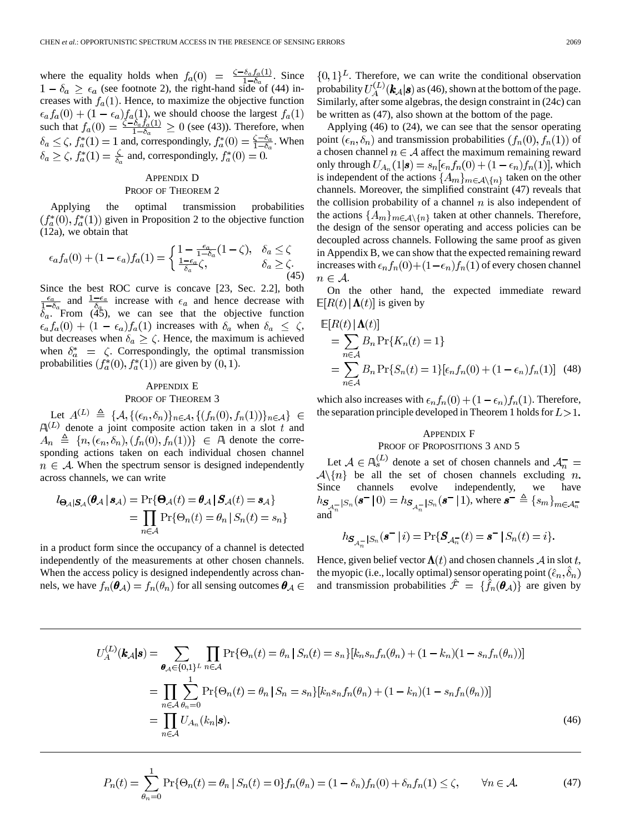where the equality holds when  $f_a(0) = \frac{\zeta - \partial_a f_a(1)}{1 - \zeta}$ . Since (see footnote 2), the right-hand side of (44) increases with  $f_a(1)$ . Hence, to maximize the objective function  $\epsilon_a f_a(0) + (1 - \epsilon_a) f_a(1)$ , we should choose the largest  $f_a(1)$ such that  $f_a(0) = \frac{\zeta - \delta_a f_a(1)}{1 - \delta_a} \ge 0$  (see (43)). Therefore, when  $\delta_a \leq \zeta$ ,  $f_a^*(1) = 1$  and, correspondingly,  $f_a^*(0) = \frac{\zeta - \delta_a}{1 - \delta_a}$ . When  $\delta_a \ge \zeta$ ,  $f_a^*(1) = \frac{\zeta}{\delta_a}$  and, correspondingly,  $f_a^*(0) = 0$ .

# APPENDIX D PROOF OF THEOREM 2

Applying the optimal transmission probabilities  $(f_a^*(0), f_a^*(1))$  given in Proposition 2 to the objective function (12a), we obtain that

$$
\epsilon_a f_a(0) + (1 - \epsilon_a) f_a(1) = \begin{cases} 1 - \frac{\epsilon_a}{1 - \delta_a} (1 - \zeta), & \delta_a \le \zeta \\ \frac{1 - \epsilon_a}{\delta_a} \zeta, & \delta_a \ge \zeta. \end{cases}
$$
(45)

Since the best ROC curve is concave [23, Sec. 2.2], both and  $\frac{1-\epsilon_a}{\delta}$  increase with  $\epsilon_a$  and hence decrease with . From (45), we can see that the objective function  $\epsilon_a f_a(0) + (1 - \epsilon_a) f_a(1)$  increases with  $\delta_a$  when  $\delta_a \leq \zeta$ , but decreases when  $\delta_a \geq \zeta$ . Hence, the maximum is achieved when  $\delta_a^* = \zeta$ . Correspondingly, the optimal transmission probabilities  $(f_a^*(0), f_a^*(1))$  are given by  $(0, 1)$ .

# APPENDIX E

# PROOF OF THEOREM 3

Let denote a joint composite action taken in a slot  $t$  and  $A_n \triangleq \{n, (\epsilon_n, \delta_n), (f_n(0), f_n(1))\} \in \mathbb{A}$  denote the corresponding actions taken on each individual chosen channel  $n \in \mathcal{A}$ . When the spectrum sensor is designed independently across channels, we can write

$$
l_{\mathbf{\Theta}_{\mathcal{A}}|\mathcal{S}_{\mathcal{A}}}(\theta_{\mathcal{A}} | \mathbf{s}_{\mathcal{A}}) = \Pr{\mathbf{\Theta}_{\mathcal{A}}(t) = \mathbf{\theta}_{\mathcal{A}} | \mathbf{S}_{\mathcal{A}}(t) = \mathbf{s}_{\mathcal{A}}}
$$
  
= 
$$
\prod_{n \in \mathcal{A}} \Pr{\Theta_n(t) = \theta_n | S_n(t) = s_n}
$$

in a product form since the occupancy of a channel is detected independently of the measurements at other chosen channels. When the access policy is designed independently across channels, we have  $f_n(\theta_A) = f_n(\theta_n)$  for all sensing outcomes  $\theta_A \in$ 

 $\{0,1\}^L$ . Therefore, we can write the conditional observation probability  $U_A^{(L)}(\mathbf{k}_A|\mathbf{s})$  as (46), shown at the bottom of the page. Similarly, after some algebras, the design constraint in (24c) can be written as (47), also shown at the bottom of the page.

Applying (46) to (24), we can see that the sensor operating point  $(\epsilon_n, \delta_n)$  and transmission probabilities  $(f_n(0), f_n(1))$  of a chosen channel  $n \in A$  affect the maximum remaining reward only through  $U_{A_n}(1|\mathbf{s}) = s_n[\epsilon_n f_n(0) + (1 - \epsilon_n)f_n(1)]$ , which is independent of the actions  $\{A_m\}_{m\in\mathcal{A}\backslash\{n\}}$  taken on the other channels. Moreover, the simplified constraint (47) reveals that the collision probability of a channel  $n$  is also independent of the actions  $\{A_m\}_{m\in\mathcal{A}\backslash\{n\}}$  taken at other channels. Therefore, the design of the sensor operating and access policies can be decoupled across channels. Following the same proof as given in Appendix B, we can show that the expected remaining reward increases with  $\epsilon_n f_n(0) + (1 - \epsilon_n) f_n(1)$  of every chosen channel  $n \in \mathcal{A}$ .

On the other hand, the expected immediate reward  $\mathbb{E}[R(t) | \mathbf{\Lambda}(t)]$  is given by

$$
\mathbb{E}[R(t)|\mathbf{\Lambda}(t)]
$$
  
= 
$$
\sum_{n\in\mathcal{A}} B_n \Pr\{K_n(t) = 1\}
$$
  
= 
$$
\sum_{n\in\mathcal{A}} B_n \Pr\{S_n(t) = 1\} [\epsilon_n f_n(0) + (1 - \epsilon_n) f_n(1)]
$$
 (48)

which also increases with  $\epsilon_n f_n(0) + (1 - \epsilon_n) f_n(1)$ . Therefore, the separation principle developed in Theorem 1 holds for  $L > 1$ .

# APPENDIX F PROOF OF PROPOSITIONS 3 AND 5

Let  $A \in A_s^{(L)}$  denote a set of chosen channels and  $A_n^ \mathcal{A}\backslash\{n\}$  be all the set of chosen channels excluding n. Since channels evolve independently, we have , where and

$$
h_{\mathcal{S}_{\mathcal{A}_{n}}|S_{n}}(\mathbf{s}^{-}|i) = \Pr{\mathcal{S}_{\mathcal{A}_{n}^{-}}(t) = \mathbf{s}^{-}|S_{n}(t) = i}.
$$

Hence, given belief vector  $\Lambda(t)$  and chosen channels A in slot t, the myopic (i.e., locally optimal) sensor operating point  $(\hat{\epsilon}_n, \hat{\delta}_n)$ and transmission probabilities  $\hat{\mathcal{F}} = {\{\hat{f}_n(\theta_\mathcal{A})\}}$  are given by

$$
U_A^{(L)}(\mathbf{k}_A|\mathbf{s}) = \sum_{\theta_A \in \{0,1\}^L} \prod_{n \in A} \Pr\{\Theta_n(t) = \theta_n \mid S_n(t) = s_n\} [k_n s_n f_n(\theta_n) + (1 - k_n)(1 - s_n f_n(\theta_n))]
$$
  
= 
$$
\prod_{n \in A} \sum_{\theta_n = 0}^1 \Pr\{\Theta_n(t) = \theta_n \mid S_n = s_n\} [k_n s_n f_n(\theta_n) + (1 - k_n)(1 - s_n f_n(\theta_n))]
$$
  
= 
$$
\prod_{n \in A} U_{A_n}(k_n|\mathbf{s}).
$$
 (46)

$$
P_n(t) = \sum_{\theta_n=0}^{1} \Pr\{\Theta_n(t) = \theta_n \, | \, S_n(t) = 0\} f_n(\theta_n) = (1 - \delta_n) f_n(0) + \delta_n f_n(1) \le \zeta, \qquad \forall n \in \mathcal{A}.\tag{47}
$$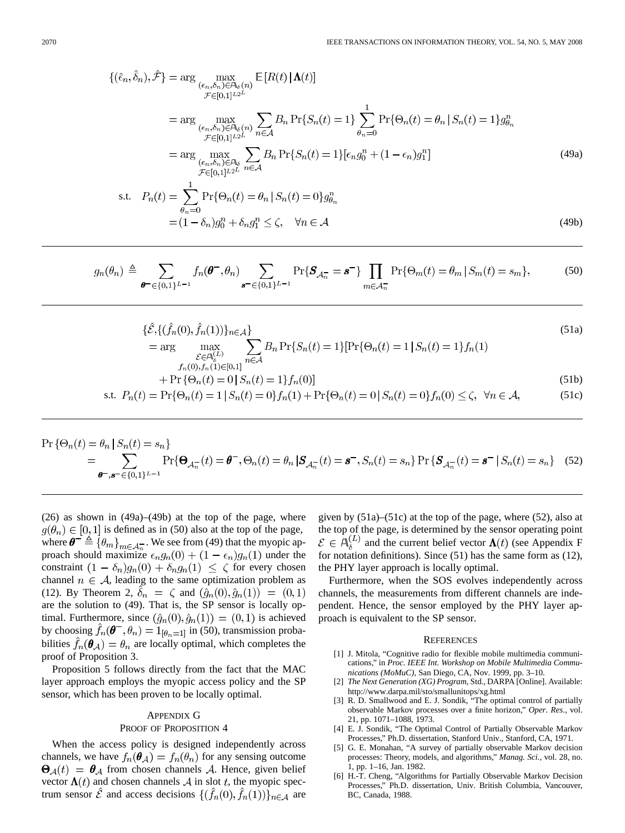$$
\{(\hat{\epsilon}_n, \hat{\delta}_n), \hat{\mathcal{F}}\} = \arg \max_{\substack{(\epsilon_n, \delta_n) \in A_{\delta}(n) \\ \mathcal{F} \in [0,1]^{L_2 L}}} \mathbb{E}\left[R(t) \mid \Lambda(t)\right]
$$
\n
$$
= \arg \max_{\substack{(\epsilon_n, \delta_n) \in A_{\delta}(n) \\ \mathcal{F} \in [0,1]^{L_2 L}}} \sum_{n \in \mathcal{A}} B_n \Pr\{S_n(t) = 1\} \sum_{\theta_n = 0}^1 \Pr\{\Theta_n(t) = \theta_n \mid S_n(t) = 1\} g_{\theta_n}^n
$$
\n
$$
= \arg \max_{\substack{(\epsilon_n, \delta_n) \in A_{\delta} \\ \mathcal{F} \in [0,1]^{L_2 L}}} \sum_{n \in \mathcal{A}} B_n \Pr\{S_n(t) = 1\} [\epsilon_n g_0^n + (1 - \epsilon_n) g_1^n]
$$
\n
$$
\text{s.t.} \quad P_n(t) = \sum_{\theta_n = 0}^1 \Pr\{\Theta_n(t) = \theta_n \mid S_n(t) = 0\} g_{\theta_n}^n
$$
\n
$$
= (1 - \delta_n) g_0^n + \delta_n g_1^n \le \zeta, \quad \forall n \in \mathcal{A} \tag{49b}
$$

$$
g_n(\theta_n) \triangleq \sum_{\boldsymbol{\theta}^- \in \{0,1\}^{L-1}} f_n(\boldsymbol{\theta}^-,\theta_n) \sum_{\boldsymbol{s}^- \in \{0,1\}^{L-1}} \Pr\{\boldsymbol{S}_{\mathcal{A}_n^-} = \boldsymbol{s}^- \} \prod_{m \in \mathcal{A}_n^-} \Pr\{\Theta_m(t) = \theta_m \,|\, S_m(t) = s_m\},\tag{50}
$$

$$
\{\hat{\mathcal{E}}, \{(\hat{f}_n(0), \hat{f}_n(1))\}_{n \in \mathcal{A}}\}\n= \arg \max_{\substack{\mathcal{E} \in A_{\delta}^{(L)} \\ f_n(0), f_n(1) \in [0,1]}} \sum_{n \in \mathcal{A}} B_n \Pr\{S_n(t) = 1\} [\Pr\{\Theta_n(t) = 1 | S_n(t) = 1\} f_n(1)\n\tag{51a}
$$

+ 
$$
\Pr\{\Theta_n(t) = 0 | S_n(t) = 1\} f_n(0)
$$
 (51b)  
 $\Pr\{\Theta_n(t) = 0 | S_n(t) = 0 | f_n(t) = 0 | S_n(t) = 0 | S_n(t) = 0 | f_n(t) = 0 | f_n(t) = 0 | f_n(t) = 0 | f_n(t) = 0 | f_n(t) = 0 | f_n(t) = 0 | f_n(t) = 0 | f_n(t) = 0 | f_n(t) = 0 | f_n(t) = 0 | f_n(t) = 0 | f_n(t) = 0 | f_n(t) = 0 | f_n(t) = 0 | f_n(t) = 0 | f_n(t) = 0 | f_n(t) = 0 | f_n(t) = 0 | f_n(t) = 0 | f_n(t) = 0 | f_n(t) = 0 | f_n(t) = 0 | f_n(t) = 0 | f_n(t) = 0 | f_n(t) = 0 | f_n(t) = 0 | f_n(t) = 0 | f_n(t) = 0 | f_n(t) = 0 | f_n(t) = 0 | f_n(t) = 0 | f_n(t) = 0 | f_n(t) = 0 | f_n(t) = 0 | f_n(t) = 0 | f_n(t) = 0 | f_n(t) = 0 | f_n(t) = 0 | f_n(t) = 0 | f_n(t) = 0 | f_n(t) = 0 | f_n(t) = 0 | f_n(t) = 0 | f_n(t) = 0 | f_n(t) = 0 | f_n(t) = 0 | f_n(t) = 0 | f_n(t) = 0 | f_n(t) = 0 | f_n(t) = 0 | f_n(t) = 0 | f_n(t) = 0 | f_n(t) = 0 | f_n(t) = 0 | f_n(t) = 0 | f_n(t) = 0 | f_n(t) = 0 | f_n(t) = 0 | f_n(t) = 0 | f_n(t) = 0 | f_n(t) = 0 | f_n(t) = 0 | f_n(t) = 0 | f_n(t) = 0 | f_n(t) = 0 | f_n(t) = 0 | f_n(t) = 0 | f_n(t) = 0 | f_n(t) = 0 | f_n(t) = 0 | f_n(t) = 0 | f_n(t) = 0 | f_n(t) = 0 | f_n(t) = 0 | f_n(t) = 0 | f_n(t) = 0 | f_n(t) = 0 | f_n(t) = 0 | f_n(t) = 0 | f_n(t) = 0 | f_n(t) = 0 | f_n(t) = 0 | f_n(t) = 0 | f_n(t) = 0 | f_n(t) = 0 | f_n$ 

s.t. 
$$
P_n(t) = Pr\{\Theta_n(t) = 1 | S_n(t) = 0\} f_n(1) + Pr\{\Theta_n(t) = 0 | S_n(t) = 0\} f_n(0) \le \zeta, \ \forall n \in \mathcal{A},
$$
 (51c)

$$
\Pr\{\Theta_n(t) = \theta_n \mid S_n(t) = s_n\}
$$
\n
$$
= \sum_{\boldsymbol{\theta}^-, \boldsymbol{s}^- \in \{0, 1\}^{L-1}} \Pr\{\boldsymbol{\Theta}_{\mathcal{A}_n^-}(t) = \boldsymbol{\theta}^-, \Theta_n(t) = \theta_n \mid \boldsymbol{S}_{\mathcal{A}_n^-}(t) = \boldsymbol{s}^-, S_n(t) = s_n\} \Pr\{\boldsymbol{S}_{\mathcal{A}_n^-}(t) = \boldsymbol{s}^- \mid S_n(t) = s_n\} \quad (52)
$$

 $(26)$  as shown in  $(49a)$ – $(49b)$  at the top of the page, where  $g(\theta_n) \in [0,1]$  is defined as in (50) also at the top of the page, where  $\boldsymbol{\theta}^- \triangleq {\theta_m}_{m \in {\cal A}^-}$ . We see from (49) that the myopic approach should maximize  $\epsilon_n g_n(0) + (1 - \epsilon_n)g_n(1)$  under the constraint  $(1 - \delta_n)g_n(0) + \delta_n g_n(1) \leq \zeta$  for every chosen channel  $n \in A$ , leading to the same optimization problem as (12). By Theorem 2,  $\hat{\delta}_n = \zeta$  and  $(\hat{g}_n(0), \hat{g}_n(1)) = (0, 1)$ are the solution to (49). That is, the SP sensor is locally optimal. Furthermore, since  $(\hat{g}_n(0), \hat{g}_n(1)) = (0, 1)$  is achieved by choosing  $\hat{f}_n(\boldsymbol{\theta}^-,\theta_n) = 1_{\lbrack \theta_n=1 \rbrack}$  in (50), transmission probabilities  $\hat{f}_n(\theta_{\mathcal{A}}) = \theta_n$  are locally optimal, which completes the proof of Proposition 3.

Proposition 5 follows directly from the fact that the MAC layer approach employs the myopic access policy and the SP sensor, which has been proven to be locally optimal.

# APPENDIX G

#### PROOF OF PROPOSITION 4

When the access policy is designed independently across channels, we have  $f_n(\theta_{\mathcal{A}}) = f_n(\theta_n)$  for any sensing outcome  $\Theta_{\mathcal{A}}(t) = \theta_{\mathcal{A}}$  from chosen channels A. Hence, given belief vector  $\Lambda(t)$  and chosen channels A in slot t, the myopic spectrum sensor  $\hat{\mathcal{E}}$  and access decisions  $\{(\hat{f}_n(0), \hat{f}_n(1))\}_{n \in \mathcal{A}}$  are

given by (51a)–(51c) at the top of the page, where (52), also at the top of the page, is determined by the sensor operating point  $\mathcal{E} \in \mathbb{A}_{\kappa}^{(L)}$  and the current belief vector  $\Lambda(t)$  (see Appendix F for notation definitions). Since (51) has the same form as (12), the PHY layer approach is locally optimal.

Furthermore, when the SOS evolves independently across channels, the measurements from different channels are independent. Hence, the sensor employed by the PHY layer approach is equivalent to the SP sensor.

#### **REFERENCES**

- [1] J. Mitola, "Cognitive radio for flexible mobile multimedia communications," in *Proc. IEEE Int. Workshop on Mobile Multimedia Communications (MoMuC)*, San Diego, CA, Nov. 1999, pp. 3–10.
- [2] *The Next Generation (XG) Program*, Std., DARPA [Online]. Available: http://www.darpa.mil/sto/smallunitops/xg.html
- [3] R. D. Smallwood and E. J. Sondik, "The optimal control of partially observable Markov processes over a finite horizon," *Oper. Res.*, vol. 21, pp. 1071–1088, 1973.
- [4] E. J. Sondik, "The Optimal Control of Partially Observable Markov Processes," Ph.D. dissertation, Stanford Univ., Stanford, CA, 1971.
- [5] G. E. Monahan, "A survey of partially observable Markov decision processes: Theory, models, and algorithms," *Manag. Sci.*, vol. 28, no. 1, pp. 1–16, Jan. 1982.
- [6] H.-T. Cheng, "Algorithms for Partially Observable Markov Decision Processes," Ph.D. dissertation, Univ. British Columbia, Vancouver, BC, Canada, 1988.